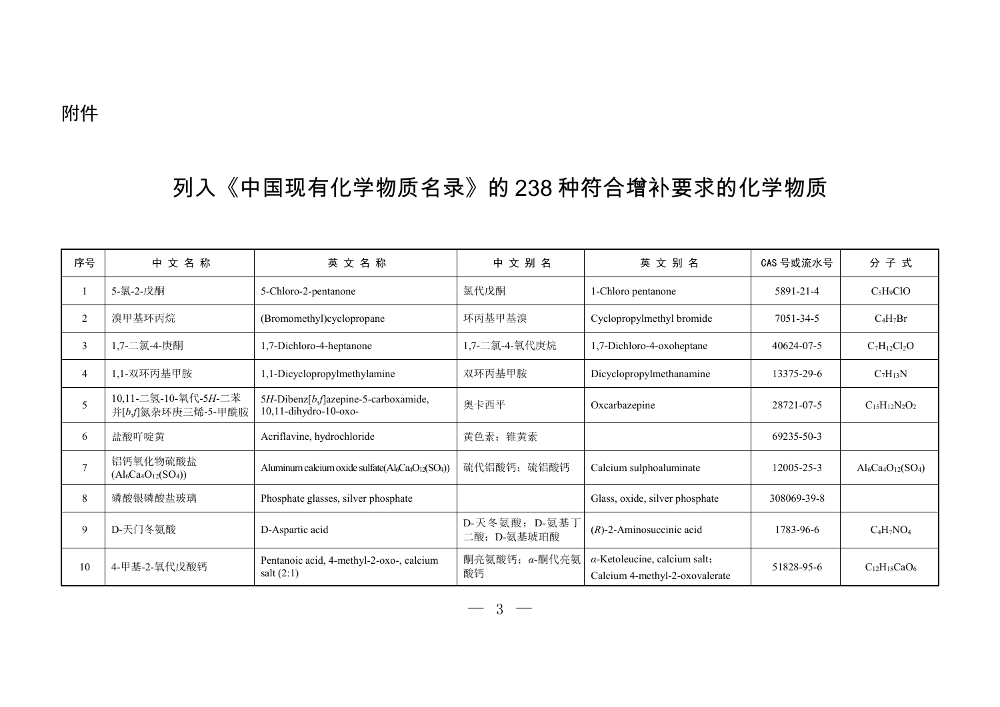## 列入《中国现有化学物质名录》的 238 种符合增补要求的化学物质

| 序号             | 中文名称                                       | 英文名称                                                                                               | 中文别名                         | 英文别名                                                                   | CAS 号或流水号   | 分子式                    |
|----------------|--------------------------------------------|----------------------------------------------------------------------------------------------------|------------------------------|------------------------------------------------------------------------|-------------|------------------------|
|                | 5-氯-2-戊酮                                   | 5-Chloro-2-pentanone                                                                               | 氯代戊酮                         | 1-Chloro pentanone                                                     | 5891-21-4   | $C_5H_9ClO$            |
| $\overline{2}$ | 溴甲基环丙烷                                     | (Bromomethyl)cyclopropane                                                                          | 环丙基甲基溴                       | Cyclopropylmethyl bromide                                              | 7051-34-5   | $C_4H_7Br$             |
| $\overline{3}$ | 1,7-二氯-4-庚酮                                | 1,7-Dichloro-4-heptanone                                                                           | 1,7-二氯-4-氧代庚烷                | 1,7-Dichloro-4-oxoheptane                                              | 40624-07-5  | $C_7H_{12}Cl_2O$       |
| 4              | 1,1-双环丙基甲胺                                 | 1,1-Dicyclopropylmethylamine                                                                       | 双环丙基甲胺                       | Dicyclopropylmethanamine                                               | 13375-29-6  | $C_7H_{13}N$           |
| 5              | 10,11-二氢-10-氧代-5H-二苯<br>并[b,f]氮杂环庚三烯-5-甲酰胺 | 5H-Dibenz[b,f]azepine-5-carboxamide,<br>10,11-dihydro-10-oxo-                                      | 奥卡西平                         | Oxcarbazepine                                                          | 28721-07-5  | $C_{15}H_{12}N_2O_2$   |
| 6              | 盐酸吖啶黄                                      | Acriflavine, hydrochloride                                                                         | 黄色素; 锥黄素                     |                                                                        | 69235-50-3  |                        |
| $\overline{7}$ | 铝钙氧化物硫酸盐<br>$(Al_6Ca_4O_{12}(SO_4))$       | Aluminum calcium oxide sulfate(Al <sub>6</sub> Ca <sub>4</sub> O <sub>12</sub> (SO <sub>4</sub> )) | 硫代铝酸钙; 硫铝酸钙                  | Calcium sulphoaluminate                                                | 12005-25-3  | $Al_6Ca_4O_{12}(SO_4)$ |
| 8              | 磷酸银磷酸盐玻璃                                   | Phosphate glasses, silver phosphate                                                                |                              | Glass, oxide, silver phosphate                                         | 308069-39-8 |                        |
| 9              | D-天门冬氨酸                                    | D-Aspartic acid                                                                                    | D-天冬氨酸; D-氨基丁<br>二酸; D-氨基琥珀酸 | $(R)$ -2-Aminosuccinic acid                                            | 1783-96-6   | $C_4H_7NO_4$           |
| 10             | 4-甲基-2-氧代戊酸钙                               | Pentanoic acid, 4-methyl-2-oxo-, calcium<br>salt $(2:1)$                                           | 酮亮氨酸钙; α-酮代亮氨<br>酸钙          | $\alpha$ -Ketoleucine, calcium salt;<br>Calcium 4-methyl-2-oxovalerate | 51828-95-6  | $C_{12}H_{18}CaO_6$    |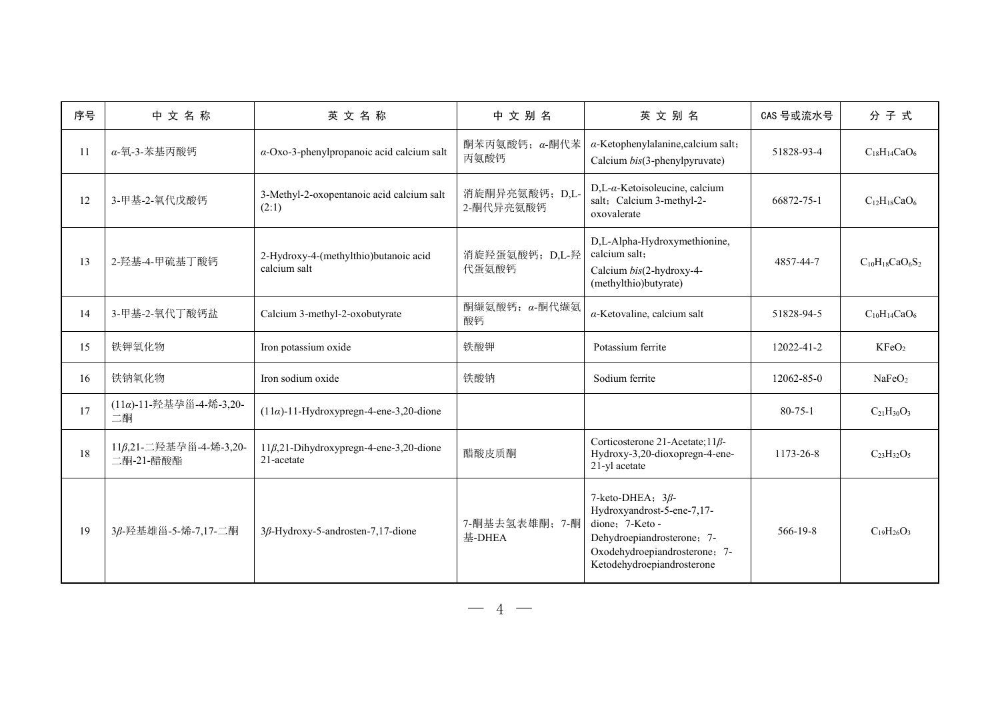| 序号            | 中文名称                                | 英文名称                                                         | 中文别名                        | 英文别名                                                                                                                                                                  | CAS 号或流水号      | 分子式                    |
|---------------|-------------------------------------|--------------------------------------------------------------|-----------------------------|-----------------------------------------------------------------------------------------------------------------------------------------------------------------------|----------------|------------------------|
| <sup>11</sup> | α-氧-3-苯基丙酸钙                         | $\alpha$ -Oxo-3-phenylpropanoic acid calcium salt            | 酮苯丙氨酸钙; α-酮代苯<br>丙氨酸钙       | $\alpha$ -Ketophenylalanine, calcium salt;<br>Calcium bis(3-phenylpyruvate)                                                                                           | 51828-93-4     | $C_{18}H_{14}CaO_6$    |
| 12            | 3-甲基-2-氧代戊酸钙                        | 3-Methyl-2-oxopentanoic acid calcium salt<br>(2:1)           | 消旋酮异亮氨酸钙; D,L-<br>2-酮代异亮氨酸钙 | D,L-α-Ketoisoleucine, calcium<br>salt; Calcium 3-methyl-2-<br>oxovalerate                                                                                             | 66872-75-1     | $C_{12}H_{18}CaO_6$    |
| 13            | 2-羟基-4-甲硫基丁酸钙                       | 2-Hydroxy-4-(methylthio)butanoic acid<br>calcium salt        | 消旋羟蛋氨酸钙; D,L-羟<br>代蛋氨酸钙     | D,L-Alpha-Hydroxymethionine,<br>calcium salt;<br>Calcium bis(2-hydroxy-4-<br>(methylthio)butyrate)                                                                    | 4857-44-7      | $C_{10}H_{18}CaO_6S_2$ |
| 14            | 3-甲基-2-氧代丁酸钙盐                       | Calcium 3-methyl-2-oxobutyrate                               | 酮缬氨酸钙; α-酮代缬氨<br>酸钙         | $\alpha$ -Ketovaline, calcium salt                                                                                                                                    | 51828-94-5     | $C_{10}H_{14}CaO_6$    |
| 15            | 铁钾氧化物                               | Iron potassium oxide                                         | 铁酸钾                         | Potassium ferrite                                                                                                                                                     | 12022-41-2     | KF <sub>2</sub>        |
| 16            | 铁钠氧化物                               | Iron sodium oxide                                            | 铁酸钠                         | Sodium ferrite                                                                                                                                                        | 12062-85-0     | NaFeO <sub>2</sub>     |
| 17            | (11α)-11-羟基孕甾-4-烯-3,20-<br>二酮       | $(11\alpha)$ -11-Hydroxypregn-4-ene-3,20-dione               |                             |                                                                                                                                                                       | $80 - 75 - 1$  | $C_{21}H_{30}O_3$      |
| 18            | 11β,21-二羟基孕甾-4-烯-3,20-<br>二酮-21-醋酸酯 | $11\beta, 21$ -Dihydroxypregn-4-ene-3,20-dione<br>21-acetate | 醋酸皮质酮                       | Corticosterone 21-Acetate; $11\beta$ -<br>Hydroxy-3,20-dioxopregn-4-ene-<br>21-yl acetate                                                                             | 1173-26-8      | $C_{23}H_{32}O_5$      |
| 19            | 3β-羟基雄甾-5-烯-7,17-二酮                 | $3\beta$ -Hydroxy-5-androsten-7,17-dione                     | 7-酮基去氢表雄酮; 7-酮<br>基-DHEA    | 7-keto-DHEA; $3\beta$ -<br>Hydroxyandrost-5-ene-7,17-<br>dione: 7-Keto -<br>Dehydroepiandrosterone; 7-<br>Oxodehydroepiandrosterone; 7-<br>Ketodehydroepiandrosterone | $566 - 19 - 8$ | $C_{19}H_{26}O_3$      |

 $-4-$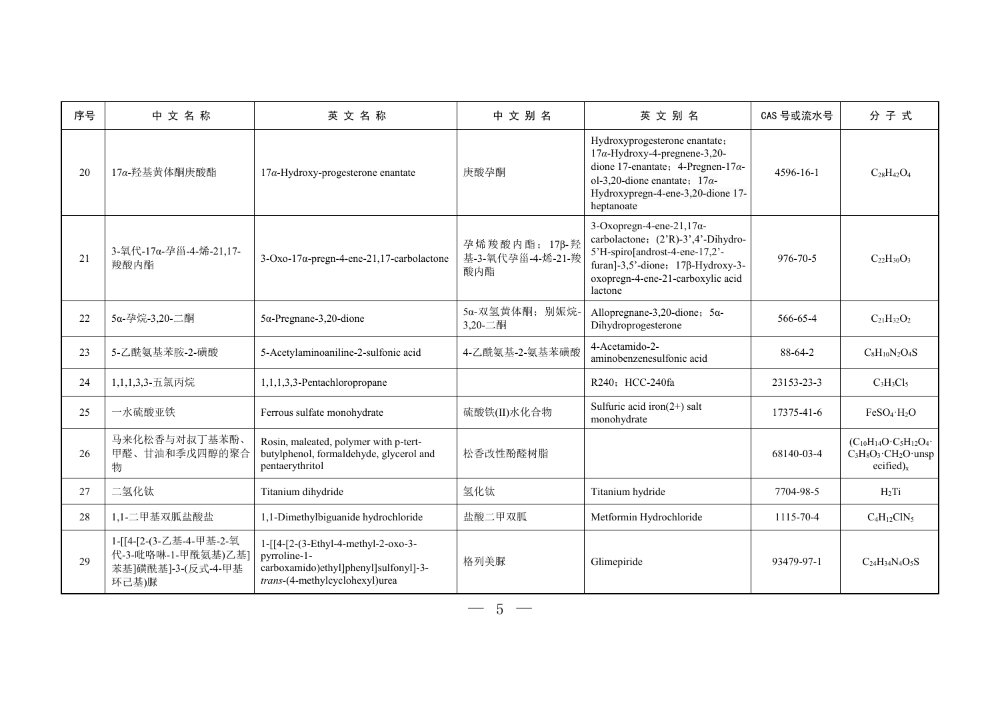| 序号 | 中文名称                                                                         | 英文名称                                                                                                                           | 中文别名                                      | 英文别名                                                                                                                                                                                                           | CAS 号或流水号      | 分子式                                                                                                |
|----|------------------------------------------------------------------------------|--------------------------------------------------------------------------------------------------------------------------------|-------------------------------------------|----------------------------------------------------------------------------------------------------------------------------------------------------------------------------------------------------------------|----------------|----------------------------------------------------------------------------------------------------|
| 20 | 17α-羟基黄体酮庚酸酯                                                                 | $17\alpha$ -Hydroxy-progesterone enantate                                                                                      | 庚酸孕酮                                      | Hydroxyprogesterone enantate;<br>$17\alpha$ -Hydroxy-4-pregnene-3,20-<br>dione 17-enantate; 4-Pregnen-17 $\alpha$ -<br>ol-3,20-dione enantate; $17\alpha$ -<br>Hydroxypregn-4-ene-3,20-dione 17-<br>heptanoate | 4596-16-1      | $C_{28}H_{42}O_4$                                                                                  |
| 21 | 3-氧代-17α-孕甾-4-烯-21,17-<br>羧酸内酯                                               | $3$ -Oxo-17 $\alpha$ -pregn-4-ene-21,17-carbolactone                                                                           | 孕烯羧酸内酯; 17β-羟<br>基-3-氧代孕甾-4-烯-21-羧<br>酸内酯 | 3-Oxopregn-4-ene-21,17 $\alpha$ -<br>carbolactone; (2'R)-3',4'-Dihydro-<br>5'H-spiro[androst-4-ene-17,2'-<br>furan]-3,5'-dione; $17\beta$ -Hydroxy-3-<br>oxopregn-4-ene-21-carboxylic acid<br>lactone          | $976 - 70 - 5$ | $C_{22}H_{30}O_3$                                                                                  |
| 22 | 5α-孕烷-3,20-二酮                                                                | $5\alpha$ -Pregnane-3,20-dione                                                                                                 | 5α-双氢黄体酮;别娠烷-<br>3,20-二酮                  | Allopregnane-3,20-dione; $5\alpha$ -<br>Dihydroprogesterone                                                                                                                                                    | 566-65-4       | $C_{21}H_{32}O_2$                                                                                  |
| 23 | 5-乙酰氨基苯胺-2-磺酸                                                                | 5-Acetylaminoaniline-2-sulfonic acid                                                                                           | 4-乙酰氨基-2-氨基苯磺酸                            | 4-Acetamido-2-<br>aminobenzenesulfonic acid                                                                                                                                                                    | 88-64-2        | $C_8H_{10}N_2O_4S$                                                                                 |
| 24 | 1,1,1,3,3-五氯丙烷                                                               | 1,1,1,3,3-Pentachloropropane                                                                                                   |                                           | R240; HCC-240fa                                                                                                                                                                                                | 23153-23-3     | $C_3H_3Cl_5$                                                                                       |
| 25 | 一水硫酸亚铁                                                                       | Ferrous sulfate monohydrate                                                                                                    | 硫酸铁(II)水化合物                               | Sulfuric acid iron( $2+$ ) salt<br>monohydrate                                                                                                                                                                 | 17375-41-6     | $FeSO_4 \cdot H_2O$                                                                                |
| 26 | 马来化松香与对叔丁基苯酚、<br>甲醛、甘油和季戊四醇的聚合<br>物                                          | Rosin, maleated, polymer with p-tert-<br>butylphenol, formaldehyde, glycerol and<br>pentaerythritol                            | 松香改性酚醛树脂                                  |                                                                                                                                                                                                                | 68140-03-4     | $(C_{10}H_{14}O \cdot C_5H_{12}O_4 \cdot$<br>$C_3H_8O_3 \cdot CH_2O \cdot$ unsp<br>ecified) $_{x}$ |
| 27 | 二氢化钛                                                                         | Titanium dihydride                                                                                                             | 氢化钛                                       | Titanium hydride                                                                                                                                                                                               | 7704-98-5      | $H_2Ti$                                                                                            |
| 28 | 1,1-二甲基双胍盐酸盐                                                                 | 1,1-Dimethylbiguanide hydrochloride                                                                                            | 盐酸二甲双胍                                    | Metformin Hydrochloride                                                                                                                                                                                        | 1115-70-4      | $C_4H_{12}CIN_5$                                                                                   |
| 29 | 1-[[4-[2-(3-乙基-4-甲基-2-氧<br>代-3-吡咯啉-1-甲酰氨基)乙基]<br>苯基]磺酰基]-3-(反式-4-甲基<br>环己基)脲 | 1-[[4-[2-(3-Ethyl-4-methyl-2-oxo-3-<br>pyrroline-1-<br>carboxamido)ethyl]phenyl]sulfonyl]-3-<br>trans-(4-methylcyclohexyl)urea | 格列美脲                                      | Glimepiride                                                                                                                                                                                                    | 93479-97-1     | $C24H34N4O5S$                                                                                      |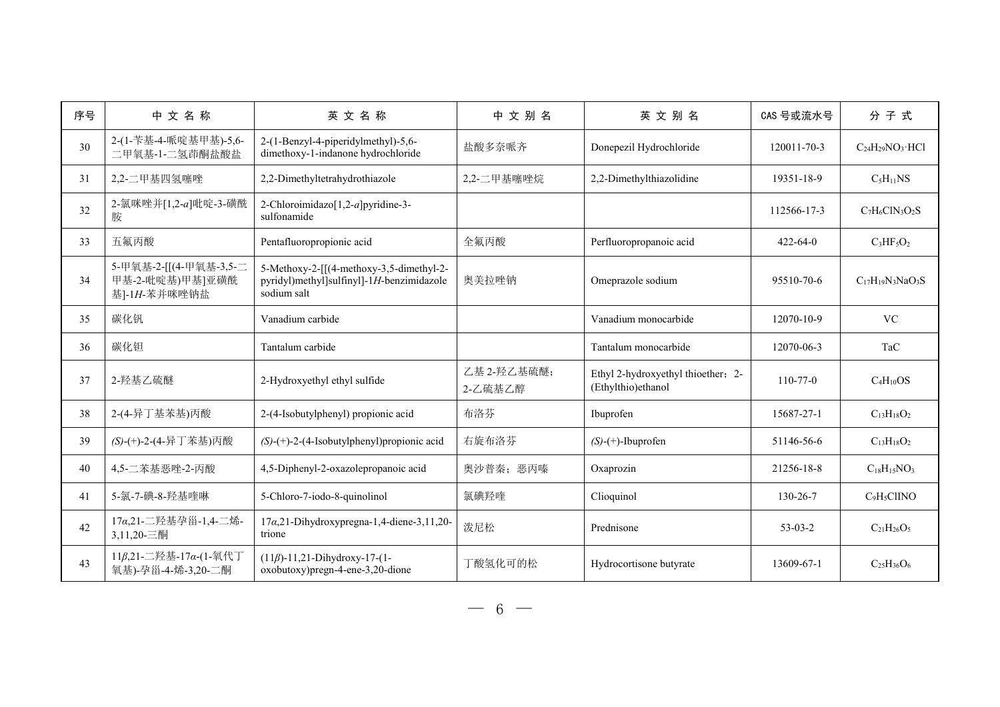| 序号 | 中文名称                                                      | 英文名称                                                                                                 | 中文别名                   | 英文别名                                                     | CAS 号或流水号      | 分子式                          |
|----|-----------------------------------------------------------|------------------------------------------------------------------------------------------------------|------------------------|----------------------------------------------------------|----------------|------------------------------|
| 30 | 2-(1-苄基-4-哌啶基甲基)-5,6-<br>二甲氧基-1-二氢茚酮盐酸盐                   | 2-(1-Benzyl-4-piperidylmethyl)-5,6-<br>dimethoxy-1-indanone hydrochloride                            | 盐酸多奈哌齐                 | Donepezil Hydrochloride                                  | 120011-70-3    | $C_{24}H_{29}NO_3 \cdot HCl$ |
| 31 | 2,2-二甲基四氢噻唑                                               | 2,2-Dimethyltetrahydrothiazole                                                                       | 2,2-二甲基噻唑烷             | 2,2-Dimethylthiazolidine                                 | 19351-18-9     | $C_5H_{11}NS$                |
| 32 | 2-氯咪唑并[1,2-a]吡啶-3-磺酰<br>胺                                 | 2-Chloroimidazo[1,2-a]pyridine-3-<br>sulfonamide                                                     |                        |                                                          | 112566-17-3    | $C_7H_6CIN_3O_2S$            |
| 33 | 五氟丙酸                                                      | Pentafluoropropionic acid                                                                            | 全氟丙酸                   | Perfluoropropanoic acid                                  | $422 - 64 - 0$ | $C_3HF_5O_2$                 |
| 34 | 5-甲氧基-2-[[(4-甲氧基-3,5-二<br>甲基-2-吡啶基)甲基]亚磺酰<br>基]-1H-苯并咪唑钠盐 | 5-Methoxy-2-[[(4-methoxy-3,5-dimethyl-2-<br>pyridyl)methyl]sulfinyl]-1H-benzimidazole<br>sodium salt | 奥美拉唑钠                  | Omeprazole sodium                                        | 95510-70-6     | $C_{17}H_{19}N_3NaO_3S$      |
| 35 | 碳化钒                                                       | Vanadium carbide                                                                                     |                        | Vanadium monocarbide                                     | 12070-10-9     | <b>VC</b>                    |
| 36 | 碳化钽                                                       | Tantalum carbide                                                                                     |                        | Tantalum monocarbide                                     | 12070-06-3     | TaC                          |
| 37 | 2-羟基乙硫醚                                                   | 2-Hydroxyethyl ethyl sulfide                                                                         | 乙基 2-羟乙基硫醚;<br>2-乙硫基乙醇 | Ethyl 2-hydroxyethyl thioether; 2-<br>(Ethylthio)ethanol | $110 - 77 - 0$ | $C_4H_{10}OS$                |
| 38 | 2-(4-异丁基苯基)丙酸                                             | 2-(4-Isobutylphenyl) propionic acid                                                                  | 布洛芬                    | Ibuprofen                                                | 15687-27-1     | $C_{13}H_{18}O_2$            |
| 39 | (S)-(+)-2-(4-异丁苯基)丙酸                                      | $(S)$ -(+)-2-(4-Isobutylphenyl) propionic acid                                                       | 右旋布洛芬                  | $(S)-(+)$ -Ibuprofen                                     | 51146-56-6     | $C_{13}H_{18}O_2$            |
| 40 | 4,5-二苯基恶唑-2-丙酸                                            | 4,5-Diphenyl-2-oxazolepropanoic acid                                                                 | 奥沙普秦; 恶丙嗪              | Oxaprozin                                                | 21256-18-8     | $C_{18}H_{15}NO_3$           |
| 41 | 5-氯-7-碘-8-羟基喹啉                                            | 5-Chloro-7-iodo-8-quinolinol                                                                         | 氯碘羟喹                   | Clioquinol                                               | 130-26-7       | $C_9H_5CIINO$                |
| 42 | 17α,21-二羟基孕甾-1,4-二烯-<br>3,11,20-三酮                        | $17\alpha, 21$ -Dihydroxypregna-1,4-diene-3,11,20-<br>trione                                         | 泼尼松                    | Prednisone                                               | $53-03-2$      | $C_{21}H_{26}O_5$            |
| 43 | 11β,21-二羟基-17α-(1-氧代丁<br>氧基)-孕甾-4-烯-3,20-二酮               | $(11\beta)$ -11,21-Dihydroxy-17-(1-<br>oxobutoxy)pregn-4-ene-3,20-dione                              | 丁酸氢化可的松                | Hydrocortisone butyrate                                  | 13609-67-1     | $C_{25}H_{36}O_6$            |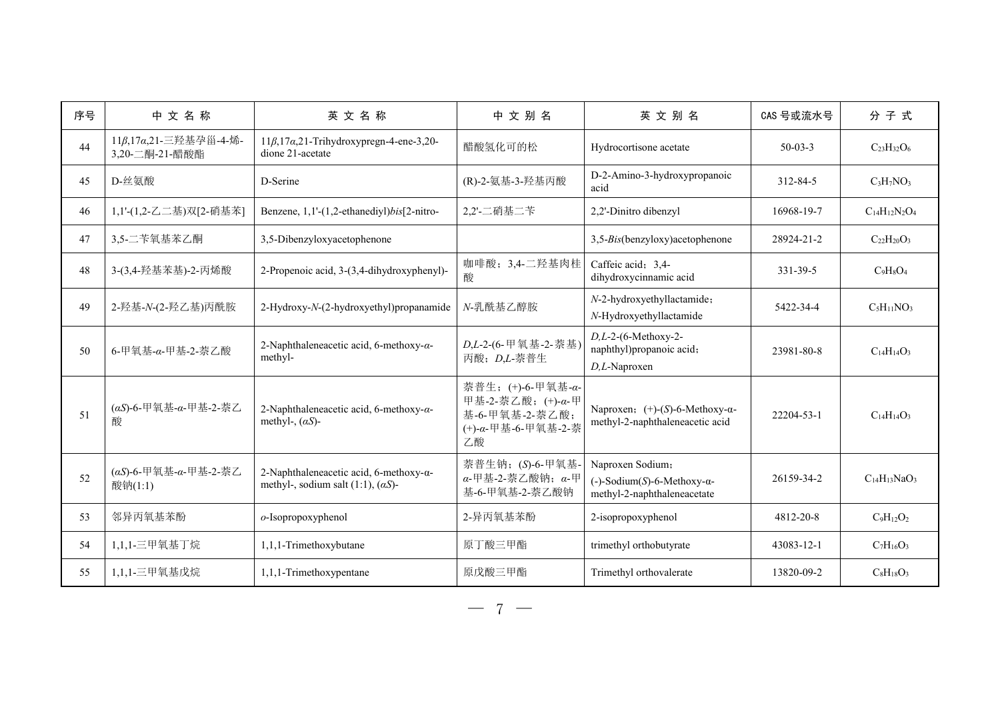| 序号 | 中文名称                                    | 英文名称                                                                                          | 中文别名                                                                                 | 英文别名                                                                                      | CAS 号或流水号  | 分子式                  |
|----|-----------------------------------------|-----------------------------------------------------------------------------------------------|--------------------------------------------------------------------------------------|-------------------------------------------------------------------------------------------|------------|----------------------|
| 44 | 11β,17α,21-三羟基孕甾-4-烯-<br>3,20-二酮-21-醋酸酯 | $11\beta$ , $17\alpha$ , $21$ -Trihydroxypregn-4-ene-3, 20-<br>dione 21-acetate               | 醋酸氢化可的松                                                                              | Hydrocortisone acetate                                                                    | $50-03-3$  | $C_{23}H_{32}O_6$    |
| 45 | D-丝氨酸                                   | D-Serine                                                                                      | (R)-2-氨基-3-羟基丙酸                                                                      | D-2-Amino-3-hydroxypropanoic<br>acid                                                      | 312-84-5   | $C_3H_7NO_3$         |
| 46 | 1,1'-(1,2-乙二基)双[2-硝基苯]                  | Benzene, 1,1'-(1,2-ethanediyl)bis[2-nitro-                                                    | 2,2'-二硝基二苄                                                                           | 2,2'-Dinitro dibenzyl                                                                     | 16968-19-7 | $C_{14}H_{12}N_2O_4$ |
| 47 | 3,5-二苄氧基苯乙酮                             | 3,5-Dibenzyloxyacetophenone                                                                   |                                                                                      | 3,5-Bis(benzyloxy)acetophenone                                                            | 28924-21-2 | $C_{22}H_{20}O_3$    |
| 48 | 3-(3,4-羟基苯基)-2-丙烯酸                      | 2-Propenoic acid, 3-(3,4-dihydroxyphenyl)-                                                    | 咖啡酸; 3,4-二羟基肉桂<br>酸                                                                  | Caffeic acid; 3,4-<br>dihydroxycinnamic acid                                              | 331-39-5   | $C_9H_8O_4$          |
| 49 | 2-羟基-N-(2-羟乙基)丙酰胺                       | 2-Hydroxy-N-(2-hydroxyethyl)propanamide                                                       | N-乳酰基乙醇胺                                                                             | N-2-hydroxyethyllactamide;<br>N-Hydroxyethyllactamide                                     | 5422-34-4  | $C_5H_{11}NO_3$      |
| 50 | 6-甲氧基-α-甲基-2-萘乙酸                        | 2-Naphthaleneacetic acid, 6-methoxy- $\alpha$ -<br>methyl-                                    | D,L-2-(6-甲氧基-2-萘基)<br>丙酸; D,L-萘普生                                                    | $D,L-2-(6-Methoxy-2-$<br>naphthyl)propanoic acid;<br>D,L-Naproxen                         | 23981-80-8 | $C_{14}H_{14}O_3$    |
| 51 | (αS)-6-甲氧基-α-甲基-2-萘乙<br>酸               | 2-Naphthaleneacetic acid, 6-methoxy- $\alpha$ -<br>methyl-, $(\alpha S)$ -                    | 萘普生; (+)-6-甲氧基-α-<br>甲基-2-萘乙酸; (+)-α-甲<br>基-6-甲氧基-2-萘乙酸;<br>(+)-α-甲基-6-甲氧基-2-萘<br>乙酸 | Naproxen; $(+)$ - $(S)$ -6-Methoxy- $\alpha$ -<br>methyl-2-naphthaleneacetic acid         | 22204-53-1 | $C_{14}H_{14}O_3$    |
| 52 | (αS)-6-甲氧基-α-甲基-2-萘乙<br>酸钠(1:1)         | 2-Naphthaleneacetic acid, 6-methoxy- $\alpha$ -<br>methyl-, sodium salt (1:1), $(\alpha S)$ - | 萘普生钠; (S)-6-甲氧基-<br>$\alpha$ -甲基-2-萘乙酸钠; $\alpha$ -甲<br>基-6-甲氧基-2-萘乙酸钠               | Naproxen Sodium;<br>$(-)$ -Sodium(S)-6-Methoxy- $\alpha$ -<br>methyl-2-naphthaleneacetate | 26159-34-2 | $C14H13NaO3$         |
| 53 | 邻异丙氧基苯酚                                 | o-Isopropoxyphenol                                                                            | 2-异丙氧基苯酚                                                                             | 2-isopropoxyphenol                                                                        | 4812-20-8  | $C_9H_{12}O_2$       |
| 54 | 1,1,1-三甲氧基丁烷                            | 1,1,1-Trimethoxybutane                                                                        | 原丁酸三甲酯                                                                               | trimethyl orthobutyrate                                                                   | 43083-12-1 | $C_7H_{16}O_3$       |
| 55 | 1,1,1-三甲氧基戊烷                            | 1,1,1-Trimethoxypentane                                                                       | 原戊酸三甲酯                                                                               | Trimethyl orthovalerate                                                                   | 13820-09-2 | $C_8H_{18}O_3$       |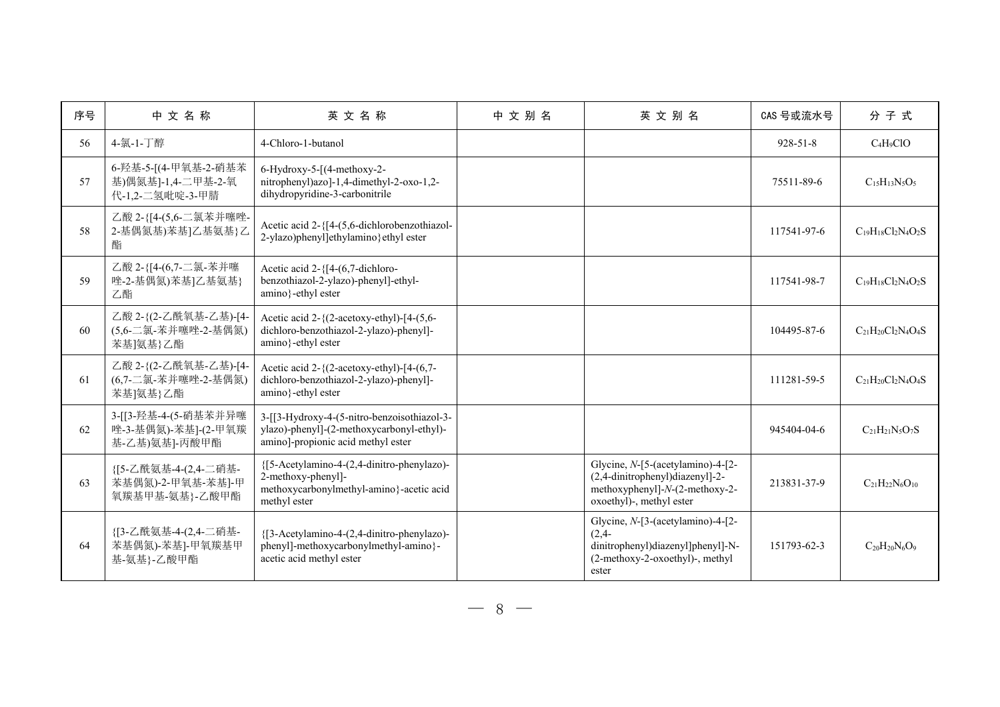| 序号 | 中文名称                                                          | 英文名称                                                                                                                           | 中文别名 | 英文别名                                                                                                                                  | CAS 号或流水号      | 分子式                       |
|----|---------------------------------------------------------------|--------------------------------------------------------------------------------------------------------------------------------|------|---------------------------------------------------------------------------------------------------------------------------------------|----------------|---------------------------|
| 56 | 4-氯-1-丁醇                                                      | 4-Chloro-1-butanol                                                                                                             |      |                                                                                                                                       | $928 - 51 - 8$ | $C_4H_9ClO$               |
| 57 | 6-羟基-5-[(4-甲氧基-2-硝基苯<br>基)偶氮基]-1,4-二甲基-2-氧<br>代-1,2-二氢吡啶-3-甲腈 | 6-Hydroxy-5-[(4-methoxy-2-<br>nitrophenyl)azo]-1,4-dimethyl-2-oxo-1,2-<br>dihydropyridine-3-carbonitrile                       |      |                                                                                                                                       | 75511-89-6     | $C_{15}H_{13}N_5O_5$      |
| 58 | 乙酸 2-{[4-(5,6-二氯苯并噻唑-<br>2-基偶氮基)苯基]乙基氨基}乙<br>酯                | Acetic acid 2-{[4-(5,6-dichlorobenzothiazol-<br>2-ylazo)phenyl]ethylamino}ethyl ester                                          |      |                                                                                                                                       | 117541-97-6    | $C_{19}H_{18}Cl_2N_4O_2S$ |
| 59 | 乙酸 2-{[4-(6,7-二氯-苯并噻<br>唑-2-基偶氮)苯基]乙基氨基}<br>乙酯                | Acetic acid 2-{[4-(6,7-dichloro-<br>benzothiazol-2-ylazo)-phenyl]-ethyl-<br>amino}-ethyl ester                                 |      |                                                                                                                                       | 117541-98-7    | $C_{19}H_{18}Cl_2N_4O_2S$ |
| 60 | 乙酸 2-{(2-乙酰氧基-乙基)-[4-<br>(5,6-二氯-苯并噻唑-2-基偶氮)<br>苯基]氨基}乙酯      | Acetic acid $2-\frac{2}{3}$ (2-acetoxy-ethyl)-[4-(5,6-<br>dichloro-benzothiazol-2-ylazo)-phenyl]-<br>amino}-ethyl ester        |      |                                                                                                                                       | 104495-87-6    | $C_{21}H_{20}Cl_2N_4O_4S$ |
| 61 | 乙酸 2-{(2-乙酰氧基-乙基)-[4-<br>(6,7-二氯-苯并噻唑-2-基偶氮)<br>苯基]氨基}乙酯      | Acetic acid 2-{(2-acetoxy-ethyl)-[4-(6,7-<br>dichloro-benzothiazol-2-ylazo)-phenyl]-<br>amino}-ethyl ester                     |      |                                                                                                                                       | 111281-59-5    | $C_{21}H_{20}Cl_2N_4O_4S$ |
| 62 | 3-[[3-羟基-4-(5-硝基苯并异噻<br>唑-3-基偶氮)-苯基]-(2-甲氧羰<br>基-乙基)氨基]-丙酸甲酯  | 3-[[3-Hydroxy-4-(5-nitro-benzoisothiazol-3-<br>ylazo)-phenyl]-(2-methoxycarbonyl-ethyl)-<br>amino]-propionic acid methyl ester |      |                                                                                                                                       | 945404-04-6    | $C_{21}H_{21}N_5O_7S$     |
| 63 | {[5-乙酰氨基-4-(2,4-二硝基-<br>苯基偶氮)-2-甲氧基-苯基]-甲<br>氧羰基甲基-氨基}-乙酸甲酯   | {[5-Acetylamino-4-(2,4-dinitro-phenylazo)-<br>2-methoxy-phenyl]-<br>methoxycarbonylmethyl-amino}-acetic acid<br>methyl ester   |      | Glycine, $N$ -[5-(acetylamino)-4-[2-<br>(2,4-dinitrophenyl)diazenyl]-2-<br>methoxyphenyl]-N-(2-methoxy-2-<br>oxoethyl)-, methyl ester | 213831-37-9    | $C_{21}H_{22}N_6O_{10}$   |
| 64 | {[3-乙酰氨基-4-(2,4-二硝基-<br>苯基偶氮)-苯基]-甲氧羰基甲<br>基-氨基}-乙酸甲酯         | {[3-Acetylamino-4-(2,4-dinitro-phenylazo)-<br>phenyl]-methoxycarbonylmethyl-amino}-<br>acetic acid methyl ester                |      | Glycine, N-[3-(acetylamino)-4-[2-<br>$(2,4-$<br>dinitrophenyl)diazenyl]phenyl]-N-<br>(2-methoxy-2-oxoethyl)-, methyl<br>ester         | 151793-62-3    | $C_{20}H_{20}N_6O_9$      |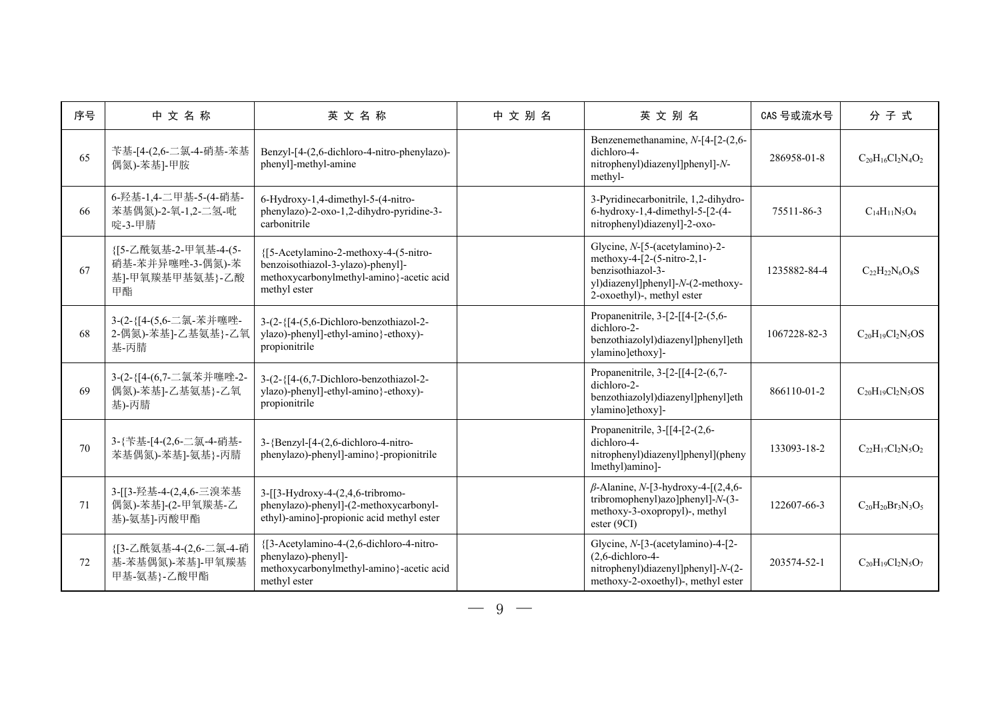| 序号 | 中文名称                                                              | 英文名称                                                                                                                                   | 中文别名 | 英文别名                                                                                                                                                 | CAS 号或流水号    | 分子式                      |
|----|-------------------------------------------------------------------|----------------------------------------------------------------------------------------------------------------------------------------|------|------------------------------------------------------------------------------------------------------------------------------------------------------|--------------|--------------------------|
| 65 | 苄基-[4-(2,6-二氯-4-硝基-苯基<br>偶氮)-苯基]-甲胺                               | Benzyl-[4-(2,6-dichloro-4-nitro-phenylazo)-<br>phenyl]-methyl-amine                                                                    |      | Benzenemethanamine, N-[4-[2-(2,6-<br>dichloro-4-<br>nitrophenyl)diazenyl]phenyl]-N-<br>methyl-                                                       | 286958-01-8  | $C_{20}H_{16}Cl_2N_4O_2$ |
| 66 | 6-羟基-1,4-二甲基-5-(4-硝基-<br>苯基偶氮)-2-氧-1,2-二氢-吡<br>啶-3-甲腈             | 6-Hydroxy-1,4-dimethyl-5-(4-nitro-<br>phenylazo)-2-oxo-1,2-dihydro-pyridine-3-<br>carbonitrile                                         |      | 3-Pyridinecarbonitrile, 1,2-dihydro-<br>$6$ -hydroxy-1,4-dimethyl-5-[2-(4-<br>nitrophenyl)diazenyl]-2-oxo-                                           | 75511-86-3   | $C_{14}H_{11}N_5O_4$     |
| 67 | {[5-乙酰氨基-2-甲氧基-4-(5-<br>硝基-苯并异噻唑-3-偶氮)-苯<br>基]-甲氧羰基甲基氨基}-乙酸<br>甲酯 | {[5-Acetylamino-2-methoxy-4-(5-nitro-<br>benzoisothiazol-3-ylazo)-phenyl]-<br>methoxycarbonylmethyl-amino}-acetic acid<br>methyl ester |      | Glycine, N-[5-(acetylamino)-2-<br>methoxy-4-[2-(5-nitro-2,1-<br>benzisothiazol-3-<br>yl)diazenyl]phenyl]-N-(2-methoxy-<br>2-oxoethyl)-, methyl ester | 1235882-84-4 | $C_{22}H_{22}N_6O_8S$    |
| 68 | 3-(2-{[4-(5,6-二氯-苯并噻唑-<br>2-偶氮)-苯基]-乙基氨基}-乙氧<br>基-丙腈              | 3-(2-{[4-(5,6-Dichloro-benzothiazol-2-<br>ylazo)-phenyl]-ethyl-amino}-ethoxy)-<br>propionitrile                                        |      | Propanenitrile, 3-[2-[[4-[2-(5,6-<br>dichloro-2-<br>benzothiazolyl)diazenyl]phenyl]eth<br>ylamino]ethoxy]-                                           | 1067228-82-3 | $C_{20}H_{19}Cl_2N_5OS$  |
| 69 | 3-(2-{[4-(6,7-二氯苯并噻唑-2-<br>偶氮)-苯基]-乙基氨基}-乙氧<br>基)-丙腈              | 3-(2-{[4-(6,7-Dichloro-benzothiazol-2-<br>ylazo)-phenyl]-ethyl-amino}-ethoxy)-<br>propionitrile                                        |      | Propanenitrile, 3-[2-[[4-[2-(6,7-<br>dichloro-2-<br>benzothiazolyl)diazenyl]phenyl]eth<br>ylamino]ethoxy]-                                           | 866110-01-2  | $C_{20}H_{19}Cl_2N_5OS$  |
| 70 | 3-{苄基-[4-(2,6-二氯-4-硝基-<br>苯基偶氮)-苯基]-氨基}-丙腈                        | 3-{Benzyl-[4-(2,6-dichloro-4-nitro-<br>phenylazo)-phenyl]-amino}-propionitrile                                                         |      | Propanenitrile, 3-[[4-[2-(2,6-<br>dichloro-4-<br>nitrophenyl)diazenyl]phenyl](pheny<br>lmethyl)amino]-                                               | 133093-18-2  | $C_{22}H_{17}Cl_2N_5O_2$ |
| 71 | 3-[[3-羟基-4-(2,4,6-三溴苯基<br>偶氮)-苯基]-(2-甲氧羰基-乙<br>基)-氨基]-丙酸甲酯        | 3-[[3-Hydroxy-4-(2,4,6-tribromo-<br>phenylazo)-phenyl]-(2-methoxycarbonyl-<br>ethyl)-amino]-propionic acid methyl ester                |      | $\beta$ -Alanine, N-[3-hydroxy-4-[(2,4,6-<br>tribromophenyl)azo]phenyl]-N-(3-<br>methoxy-3-oxopropyl)-, methyl<br>ester (9CI)                        | 122607-66-3  | $C_{20}H_{20}Br_3N_3O_5$ |
| 72 | {[3-乙酰氨基-4-(2,6-二氯-4-硝<br>基-苯基偶氮)-苯基]-甲氧羰基<br>甲基-氨基}-乙酸甲酯         | {[3-Acetylamino-4-(2,6-dichloro-4-nitro-<br>phenylazo)-phenyl]-<br>methoxycarbonylmethyl-amino}-acetic acid<br>methyl ester            |      | Glycine, N-[3-(acetylamino)-4-[2-<br>$(2, 6$ -dichloro-4-<br>nitrophenyl)diazenyl]phenyl]-N-(2-<br>methoxy-2-oxoethyl)-, methyl ester                | 203574-52-1  | $C_{20}H_{19}Cl_2N_5O_7$ |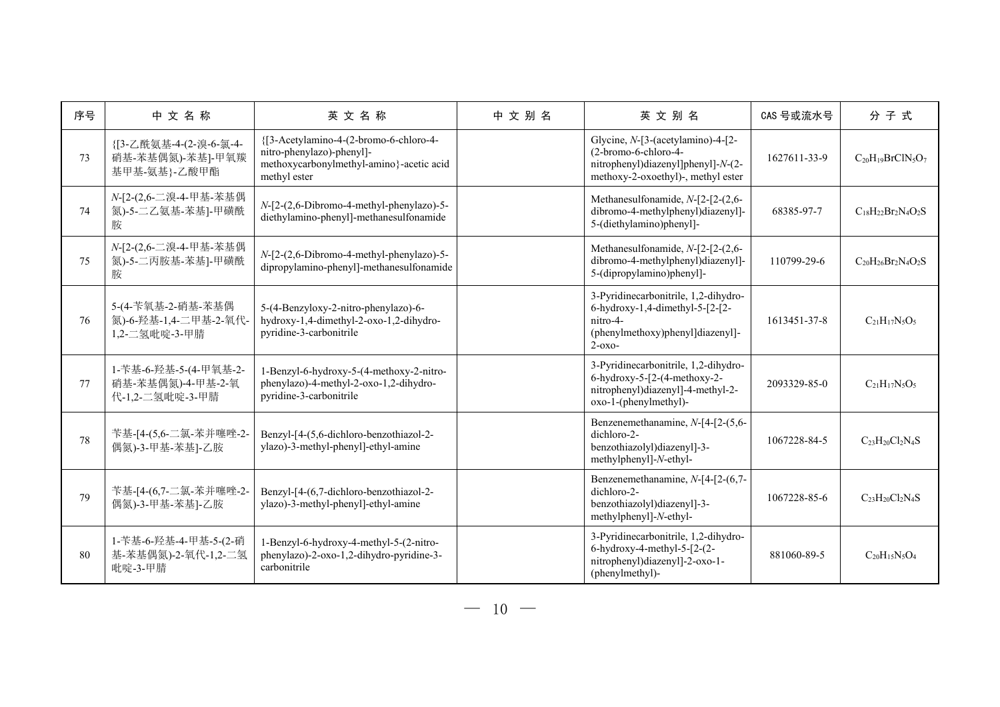| 序号 | 中文名称                                                          | 英文名称                                                                                                                            | 中文别名 | 英文别名                                                                                                                                     | CAS 号或流水号    | 分子式                       |
|----|---------------------------------------------------------------|---------------------------------------------------------------------------------------------------------------------------------|------|------------------------------------------------------------------------------------------------------------------------------------------|--------------|---------------------------|
| 73 | {[3-乙酰氨基-4-(2-溴-6-氯-4-<br>硝基-苯基偶氮)-苯基]-甲氧羰<br>基甲基-氨基}-乙酸甲酯    | {[3-Acetylamino-4-(2-bromo-6-chloro-4-<br>nitro-phenylazo)-phenyl]-<br>methoxycarbonylmethyl-amino}-acetic acid<br>methyl ester |      | Glycine, N-[3-(acetylamino)-4-[2-<br>(2-bromo-6-chloro-4-<br>nitrophenyl)diazenyl]phenyl]-N-(2-<br>methoxy-2-oxoethyl)-, methyl ester    | 1627611-33-9 | $C_{20}H_{19}BrClN_5O_7$  |
| 74 | N-[2-(2,6-二溴-4-甲基-苯基偶<br>氮)-5-二乙氨基-苯基]-甲磺酰<br>胺               | N-[2-(2,6-Dibromo-4-methyl-phenylazo)-5-<br>diethylamino-phenyl]-methanesulfonamide                                             |      | Methanesulfonamide, N-[2-[2-(2,6-<br>dibromo-4-methylphenyl)diazenyl]-<br>5-(diethylamino)phenyl]-                                       | 68385-97-7   | $C_{18}H_{22}Br_2N_4O_2S$ |
| 75 | N-[2-(2,6-二溴-4-甲基-苯基偶<br>氮)-5-二丙胺基-苯基]-甲磺酰<br>胺               | N-[2-(2,6-Dibromo-4-methyl-phenylazo)-5-<br>dipropylamino-phenyl]-methanesulfonamide                                            |      | Methanesulfonamide, N-[2-[2-(2,6-<br>dibromo-4-methylphenyl)diazenyl]-<br>5-(dipropylamino)phenyl]-                                      | 110799-29-6  | $C_{20}H_{26}Br_2N_4O_2S$ |
| 76 | 5-(4-苄氧基-2-硝基-苯基偶<br>氮)-6-羟基-1,4-二甲基-2-氧代<br>1,2-二氢吡啶-3-甲腈    | 5-(4-Benzyloxy-2-nitro-phenylazo)-6-<br>hydroxy-1,4-dimethyl-2-oxo-1,2-dihydro-<br>pyridine-3-carbonitrile                      |      | 3-Pyridinecarbonitrile, 1,2-dihydro-<br>6-hydroxy-1,4-dimethyl-5-[2-[2-<br>nitro-4-<br>(phenylmethoxy)phenyl]diazenyl]-<br>$2 - 0x -$    | 1613451-37-8 | $C_{21}H_{17}N_5O_5$      |
| 77 | 1-苄基-6-羟基-5-(4-甲氧基-2-<br>硝基-苯基偶氮)-4-甲基-2-氧<br>代-1,2-二氢吡啶-3-甲腈 | 1-Benzyl-6-hydroxy-5-(4-methoxy-2-nitro-<br>phenylazo)-4-methyl-2-oxo-1,2-dihydro-<br>pyridine-3-carbonitrile                   |      | 3-Pyridinecarbonitrile, 1,2-dihydro-<br>$6$ -hydroxy-5- $[2-(4-methoxy-2-$<br>nitrophenyl)diazenyl]-4-methyl-2-<br>oxo-1-(phenylmethyl)- | 2093329-85-0 | $C_{21}H_{17}N_5O_5$      |
| 78 | 苄基-[4-(5,6-二氯-苯并噻唑-2-<br>偶氮)-3-甲基-苯基]-乙胺                      | Benzyl-[4-(5,6-dichloro-benzothiazol-2-<br>ylazo)-3-methyl-phenyl]-ethyl-amine                                                  |      | Benzenemethanamine, N-[4-[2-(5,6-<br>dichloro-2-<br>benzothiazolyl)diazenyl]-3-<br>methylphenyl]-N-ethyl-                                | 1067228-84-5 | $C_{23}H_{20}Cl_2N_4S$    |
| 79 | 苄基-[4-(6,7-二氯-苯并噻唑-2-<br>偶氮)-3-甲基-苯基]-乙胺                      | Benzyl-[4-(6,7-dichloro-benzothiazol-2-<br>ylazo)-3-methyl-phenyl]-ethyl-amine                                                  |      | Benzenemethanamine, N-[4-[2-(6,7-<br>dichloro-2-<br>benzothiazolyl)diazenyl]-3-<br>methylphenyl]-N-ethyl-                                | 1067228-85-6 | $C_{23}H_{20}Cl_2N_4S$    |
| 80 | 1-苄基-6-羟基-4-甲基-5-(2-硝<br>基-苯基偶氮)-2-氧代-1,2-二氢<br>吡啶-3-甲腈       | 1-Benzyl-6-hydroxy-4-methyl-5-(2-nitro-<br>phenylazo)-2-oxo-1,2-dihydro-pyridine-3-<br>carbonitrile                             |      | 3-Pyridinecarbonitrile, 1,2-dihydro-<br>$6$ -hydroxy-4-methyl-5- $[2-(2-$<br>nitrophenyl)diazenyl]-2-oxo-1-<br>(phenylmethyl)-           | 881060-89-5  | $C_{20}H_{15}N_5O_4$      |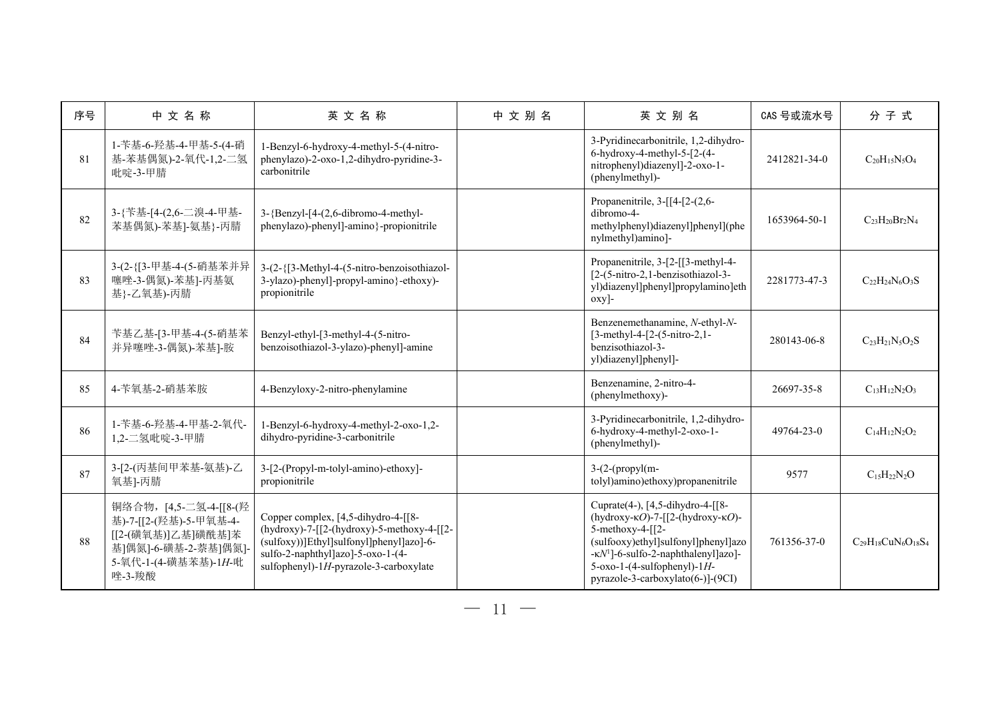| 序号 | 中文名称                                                                                                                             | 英文名称                                                                                                                                                                                                         | 中文别名 | 英文别名                                                                                                                                                                                                                                                                             | CAS 号或流水号    | 分子式                          |
|----|----------------------------------------------------------------------------------------------------------------------------------|--------------------------------------------------------------------------------------------------------------------------------------------------------------------------------------------------------------|------|----------------------------------------------------------------------------------------------------------------------------------------------------------------------------------------------------------------------------------------------------------------------------------|--------------|------------------------------|
| 81 | 1-苄基-6-羟基-4-甲基-5-(4-硝<br>基-苯基偶氮)-2-氧代-1,2-二氢<br>吡啶-3-甲腈                                                                          | 1-Benzyl-6-hydroxy-4-methyl-5-(4-nitro-<br>phenylazo)-2-oxo-1,2-dihydro-pyridine-3-<br>carbonitrile                                                                                                          |      | 3-Pyridinecarbonitrile, 1,2-dihydro-<br>$6$ -hydroxy-4-methyl-5-[2-(4-<br>nitrophenyl)diazenyl]-2-oxo-1-<br>(phenylmethyl)-                                                                                                                                                      | 2412821-34-0 | $C_{20}H_{15}N_5O_4$         |
| 82 | 3-{苄基-[4-(2,6-二溴-4-甲基-<br>苯基偶氮)-苯基]-氨基}-丙腈                                                                                       | $3-\{Benzyl-[4-(2,6-dibromo-4-methyl-$<br>phenylazo)-phenyl]-amino}-propionitrile                                                                                                                            |      | Propanenitrile, 3-[[4-[2-(2,6-<br>dibromo-4-<br>methylphenyl)diazenyl]phenyl](phe<br>nylmethyl)amino]-                                                                                                                                                                           | 1653964-50-1 | $C_{23}H_{20}Br_2N_4$        |
| 83 | 3-(2-{[3-甲基-4-(5-硝基苯并异<br>噻唑-3-偶氮)-苯基]-丙基氨<br>基}-乙氧基)-丙腈                                                                         | 3-(2-{[3-Methyl-4-(5-nitro-benzoisothiazol-<br>3-ylazo)-phenyl]-propyl-amino}-ethoxy)-<br>propionitrile                                                                                                      |      | Propanenitrile, 3-[2-[[3-methyl-4-<br>$[2-(5-nitro-2,1-benzisothiazol-3-$<br>yl)diazenyl]phenyl]propylamino]eth<br>$oxy$ ]-                                                                                                                                                      | 2281773-47-3 | $C_{22}H_{24}N_6O_3S$        |
| 84 | 苄基乙基-[3-甲基-4-(5-硝基苯<br>并异噻唑-3-偶氮)-苯基]-胺                                                                                          | Benzyl-ethyl-[3-methyl-4-(5-nitro-<br>benzoisothiazol-3-ylazo)-phenyl]-amine                                                                                                                                 |      | Benzenemethanamine, N-ethyl-N-<br>[3-methyl-4-[2-(5-nitro-2,1-<br>benzisothiazol-3-<br>yl)diazenyl]phenyl]-                                                                                                                                                                      | 280143-06-8  | $C_{23}H_{21}N_5O_2S$        |
| 85 | 4-苄氧基-2-硝基苯胺                                                                                                                     | 4-Benzyloxy-2-nitro-phenylamine                                                                                                                                                                              |      | Benzenamine, 2-nitro-4-<br>(phenylmethoxy)-                                                                                                                                                                                                                                      | 26697-35-8   | $C_{13}H_{12}N_2O_3$         |
| 86 | 1-苄基-6-羟基-4-甲基-2-氧代-<br>1,2-二氢吡啶-3-甲腈                                                                                            | 1-Benzyl-6-hydroxy-4-methyl-2-oxo-1,2-<br>dihydro-pyridine-3-carbonitrile                                                                                                                                    |      | 3-Pyridinecarbonitrile, 1,2-dihydro-<br>6-hydroxy-4-methyl-2-oxo-1-<br>(phenylmethyl)-                                                                                                                                                                                           | 49764-23-0   | $C_{14}H_{12}N_2O_2$         |
| 87 | 3-[2-(丙基间甲苯基-氨基)-乙<br>氧基]-丙腈                                                                                                     | 3-[2-(Propyl-m-tolyl-amino)-ethoxy]-<br>propionitrile                                                                                                                                                        |      | $3-(2-(propyl(m-$<br>tolyl)amino)ethoxy)propanenitrile                                                                                                                                                                                                                           | 9577         | $C_{15}H_{22}N_2O$           |
| 88 | 铜络合物, [4,5-二氢-4-[[8-(羟<br>基)-7-[[2-(羟基)-5-甲氧基-4-<br>[[2-(磺氧基)]乙基]磺酰基]苯<br>基]偶氮]-6-磺基-2-萘基]偶氮]·<br>5-氧代-1-(4-磺基苯基)-1H-吡<br>唑-3-羧酸 | Copper complex, [4,5-dihydro-4-[[8-<br>(hydroxy)-7-[[2-(hydroxy)-5-methoxy-4-[[2-<br>(sulfoxy))]Ethyl]sulfonyl]phenyl]azo]-6-<br>sulfo-2-naphthyl]azo]-5-oxo-1-(4-<br>sulfophenyl)-1H-pyrazole-3-carboxylate |      | Cuprate(4-), [4,5-dihydro-4-[[8-<br>(hydroxy- $\kappa$ O)-7-[[2-(hydroxy- $\kappa$ O)-<br>$5$ -methoxy-4- $[2-$<br>(sulfooxy)ethyl]sulfonyl]phenyl]azo<br>-KN <sup>1</sup> ]-6-sulfo-2-naphthalenyl]azo]-<br>$5$ -oxo-1-(4-sulfophenyl)-1H-<br>pyrazole-3-carboxylato(6-)]-(9CI) | 761356-37-0  | $C_{29}H_{18}CuN_6O_{18}S_4$ |

 $-11 -$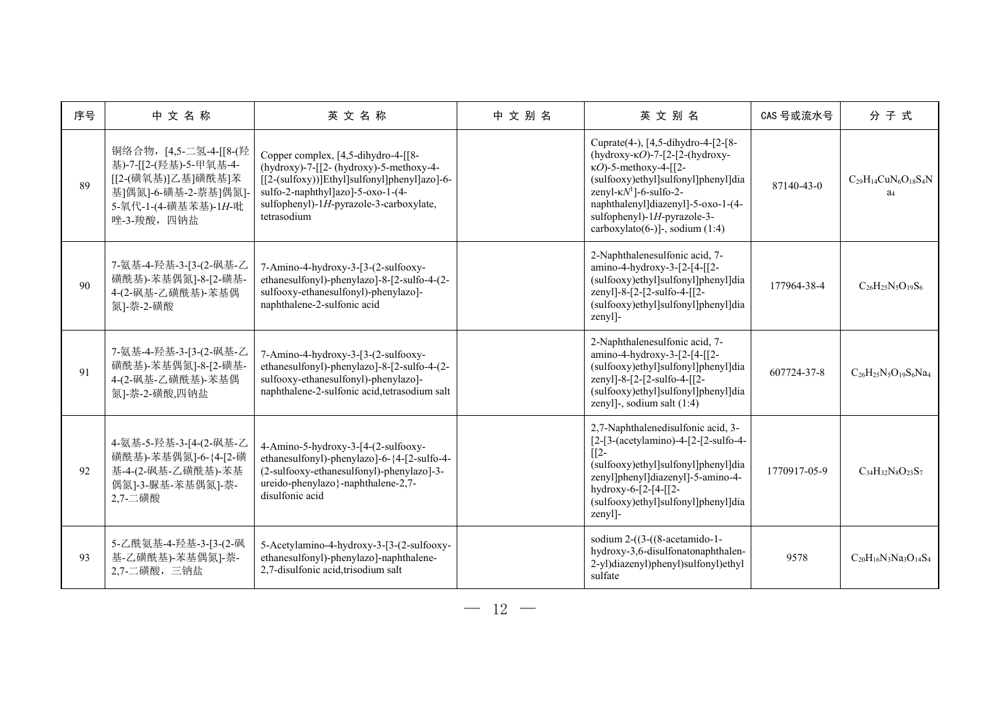| 序号 | 中文名称                                                                                                                                  | 英文名称                                                                                                                                                                                                                               | 中文别名 | 英文别名                                                                                                                                                                                                                                                                                                         | CAS 号或流水号    | 分子式                                             |
|----|---------------------------------------------------------------------------------------------------------------------------------------|------------------------------------------------------------------------------------------------------------------------------------------------------------------------------------------------------------------------------------|------|--------------------------------------------------------------------------------------------------------------------------------------------------------------------------------------------------------------------------------------------------------------------------------------------------------------|--------------|-------------------------------------------------|
| 89 | 铜络合物, [4,5-二氢-4-[[8-(羟<br>基)-7-[[2-(羟基)-5-甲氧基-4-<br>[[2-(磺氧基)]乙基]磺酰基]苯<br>基]偶氮]-6-磺基-2-萘基]偶氮]-<br>5-氧代-1-(4-磺基苯基)-1H-吡<br>唑-3-羧酸, 四钠盐 | Copper complex, [4,5-dihydro-4-[[8-<br>$(hydroxy)$ -7- $[2-(hydroxy)$ -5-methoxy-4-<br>[[2-(sulfoxy))]Ethyl]sulfonyl]phenyl]azo]-6-<br>sulfo-2-naphthyl]azo]-5-oxo-1-(4-<br>sulfophenyl)-1H-pyrazole-3-carboxylate,<br>tetrasodium |      | Cuprate(4-), [4,5-dihydro-4-[2-[8-<br>(hydroxy- $\kappa$ O)-7-[2-[2-(hydroxy-<br>$\kappa$ O)-5-methoxy-4-[[2-<br>(sulfooxy)ethyl]sulfonyl]phenyl]dia<br>zenyl- $\kappa N^1$ ]-6-sulfo-2-<br>naphthalenyl]diazenyl]-5-oxo-1-(4-<br>sulfophenyl)-1H-pyrazole-3-<br>$\text{carboxylation}(6-)$ ]-, sodium (1:4) | 87140-43-0   | $C_{29}H_{14}CuN_6O_{18}S_4N$<br>a <sub>4</sub> |
| 90 | 7-氨基-4-羟基-3-[3-(2-砜基-乙<br>磺酰基)-苯基偶氮]-8-[2-磺基-<br>4-(2-砜基-乙磺酰基)-苯基偶<br>氮]-萘-2-磺酸                                                       | 7-Amino-4-hydroxy-3-[3-(2-sulfooxy-<br>ethanesulfonyl)-phenylazo]-8-[2-sulfo-4-(2-<br>sulfooxy-ethanesulfonyl)-phenylazo]-<br>naphthalene-2-sulfonic acid                                                                          |      | 2-Naphthalenesulfonic acid, 7-<br>amino-4-hydroxy-3-[2-[4-[[2-<br>(sulfooxy)ethyl]sulfonyl]phenyl]dia<br>zenyl]-8-[2-[2-sulfo-4-[[2-<br>(sulfooxy)ethyl]sulfonyl]phenyl]dia<br>zenyl]-                                                                                                                       | 177964-38-4  | $C_{26}H_{25}N_5O_{19}S_6$                      |
| 91 | 7-氨基-4-羟基-3-[3-(2-砜基-乙<br>磺酰基)-苯基偶氮]-8-[2-磺基-<br>4-(2-砜基-乙磺酰基)-苯基偶<br>氮]-萘-2-磺酸,四钠盐                                                   | 7-Amino-4-hydroxy-3-[3-(2-sulfooxy-<br>ethanesulfonyl)-phenylazo]-8-[2-sulfo-4-(2-<br>sulfooxy-ethanesulfonyl)-phenylazo]-<br>naphthalene-2-sulfonic acid, tetrasodium salt                                                        |      | 2-Naphthalenesulfonic acid, 7-<br>amino-4-hydroxy-3-[2-[4-[[2-<br>(sulfooxy)ethyl]sulfonyl]phenyl]dia<br>zenyl]-8-[2-[2-sulfo-4-[[2-<br>(sulfooxy)ethyl]sulfonyl]phenyl]dia<br>zenyl]-, sodium salt (1:4)                                                                                                    | 607724-37-8  | $C_{26}H_{25}N_5O_{19}S_6Na_4$                  |
| 92 | 4-氨基-5-羟基-3-[4-(2-砜基-乙<br>磺酰基)-苯基偶氮]-6-{4-[2-磺<br>基-4-(2-砜基-乙磺酰基)-苯基<br>偶氮]-3-脲基-苯基偶氮]-萘-<br>2,7-二磺酸                                  | 4-Amino-5-hydroxy-3-[4-(2-sulfooxy-<br>ethanesulfonyl)-phenylazo]-6-{4-[2-sulfo-4-<br>(2-sulfooxy-ethanesulfonyl)-phenylazo]-3-<br>ureido-phenylazo}-naphthalene-2,7-<br>disulfonic acid                                           |      | 2,7-Naphthalenedisulfonic acid, 3-<br>[2-[3-(acetylamino)-4-[2-[2-sulfo-4-<br>$\sqrt{2}$<br>(sulfooxy)ethyl]sulfonyl]phenyl]dia<br>zenyl]phenyl]diazenyl]-5-amino-4-<br>hydroxy-6-[2-[4-[[2-<br>(sulfooxy)ethyl]sulfonyl]phenyl]dia<br>zenyl]-                                                               | 1770917-05-9 | $C_{34}H_{32}N_8O_{23}S_7$                      |
| 93 | 5-乙酰氨基-4-羟基-3-[3-(2-砜<br>基-乙磺酰基)-苯基偶氮]-萘-<br>2,7-二磺酸,三钠盐                                                                              | 5-Acetylamino-4-hydroxy-3-[3-(2-sulfooxy-<br>ethanesulfonyl)-phenylazo]-naphthalene-<br>2,7-disulfonic acid, trisodium salt                                                                                                        |      | sodium $2-(3-(8\text{-acetamido-1}-$<br>hydroxy-3,6-disulfonatonaphthalen-<br>2-yl)diazenyl)phenyl)sulfonyl)ethyl<br>sulfate                                                                                                                                                                                 | 9578         | $C_{20}H_{16}N_3Na_3O_{14}S_4$                  |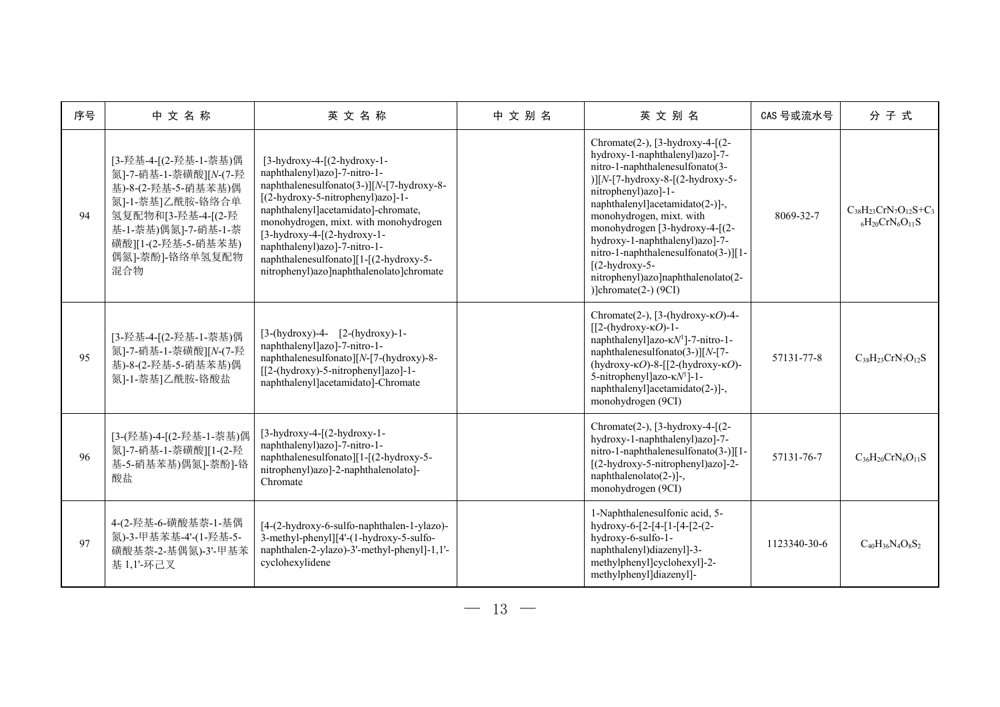| 序号 | 中文名称                                                                                                                                                                                    | 英文名称                                                                                                                                                                                                                                                                                                                                                                                   | 中文别名 | 英文别名                                                                                                                                                                                                                                                                                                                                                                                                                                                                                                | CAS 号或流水号    | 分子式                                                          |
|----|-----------------------------------------------------------------------------------------------------------------------------------------------------------------------------------------|----------------------------------------------------------------------------------------------------------------------------------------------------------------------------------------------------------------------------------------------------------------------------------------------------------------------------------------------------------------------------------------|------|-----------------------------------------------------------------------------------------------------------------------------------------------------------------------------------------------------------------------------------------------------------------------------------------------------------------------------------------------------------------------------------------------------------------------------------------------------------------------------------------------------|--------------|--------------------------------------------------------------|
| 94 | [3-羟基-4-[(2-羟基-1-萘基)偶<br>氮]-7-硝基-1-萘磺酸][N-(7-羟<br>基)-8-(2-羟基-5-硝基苯基)偶<br>氮]-1-萘基]乙酰胺-铬络合单<br>氢复配物和[3-羟基-4-[(2-羟<br>基-1-萘基)偶氮]-7-硝基-1-萘<br>磺酸][1-(2-羟基-5-硝基苯基)<br>偶氮]-萘酚]-铬络单氢复配物<br>混合物 | $[3-hydroxy-4-[(2-hydroxy-1-$<br>naphthalenyl)azo]-7-nitro-1-<br>naphthalenesulfonato(3-)][N-[7-hydroxy-8-<br>[(2-hydroxy-5-nitrophenyl)azo]-1-<br>naphthalenyl]acetamidato]-chromate,<br>monohydrogen, mixt. with monohydrogen<br>$[3-hydroxy-4-[(2-hydroxy-1-$<br>naphthalenyl)azo]-7-nitro-1-<br>naphthalenesulfonato][1-[(2-hydroxy-5-<br>nitrophenyl)azo]naphthalenolato]chromate |      | Chromate $(2-)$ , $[3-hydroxy-4-[(2-$<br>hydroxy-1-naphthalenyl)azo]-7-<br>nitro-1-naphthalenesulfonato(3-<br>$\left[\frac{N-7\text{-hydroxy-8}-[(2\text{-hydroxy-5}-1)(2\text{-hydroxy-5}-1)}{N-1}\right]$<br>nitrophenyl)azo]-1-<br>naphthalenyl]acetamidato(2-)]-,<br>monohydrogen, mixt. with<br>monohydrogen [3-hydroxy-4-[(2-<br>hydroxy-1-naphthalenyl)azo]-7-<br>nitro-1-naphthalenesulfonato(3-)][1-<br>$[(2-hydroxy-5-$<br>nitrophenyl)azo]naphthalenolato(2-<br>) $ chromate(2-) (9CI) $ | 8069-32-7    | $C_{38}H_{23}CrN_7O_{12}S+C_3$<br>$_{6}H_{20}CrN_{6}O_{11}S$ |
| 95 | [3-羟基-4-[(2-羟基-1-萘基)偶<br>氮]-7-硝基-1-萘磺酸][N-(7-羟<br>基)-8-(2-羟基-5-硝基苯基)偶<br>氮]-1-萘基]乙酰胺-铬酸盐                                                                                                | $[3-(hydroxy)-4 [2-(hydroxy)-1-$<br>naphthalenyl]azo]-7-nitro-1-<br>naphthalenesulfonato][N-[7-(hydroxy)-8-<br>[[2-(hydroxy)-5-nitrophenyl]azo]-1-<br>naphthalenyl]acetamidato]-Chromate                                                                                                                                                                                               |      | Chromate(2-), [3-(hydroxy- $\kappa$ O)-4-<br>$\left[\frac{2 - (hydroxy - \kappa O)}{-1}\right]$<br>naphthalenyl]azo-κN <sup>1</sup> ]-7-nitro-1-<br>naphthalenesulfonato(3-)][N-[7-<br>(hydroxy- $\kappa$ O)-8-[[2-(hydroxy- $\kappa$ O)-<br>5-nitrophenyl]azo-κN <sup>1</sup> ]-1-<br>naphthalenyl]acetamidato(2-)]-,<br>monohydrogen (9CI)                                                                                                                                                        | 57131-77-8   | $C_{38}H_{23}CrN_7O_{12}S$                                   |
| 96 | [3-(羟基)-4-[(2-羟基-1-萘基)偶<br>氮]-7-硝基-1-萘磺酸][1-(2-羟<br>基-5-硝基苯基)偶氮]-萘酚]-铬<br>酸盐                                                                                                            | $[3-hydroxy-4-[(2-hydroxy-1-$<br>naphthalenyl)azo]-7-nitro-1-<br>naphthalenesulfonato][1-[(2-hydroxy-5-<br>nitrophenyl)azo]-2-naphthalenolato]-<br>Chromate                                                                                                                                                                                                                            |      | Chromate(2-), $[3-hydroxy-4-[(2-$<br>hydroxy-1-naphthalenyl)azo]-7-<br>nitro-1-naphthalenesulfonato(3-)][1-<br>[(2-hydroxy-5-nitrophenyl)azo]-2-<br>naphthalenolato(2-)]-,<br>monohydrogen (9CI)                                                                                                                                                                                                                                                                                                    | 57131-76-7   | $C_{36}H_{20}CrN_6O_{11}S$                                   |
| 97 | 4-(2-羟基-6-磺酸基萘-1-基偶<br>氮)-3-甲基苯基-4'-(1-羟基-5-<br>磺酸基萘-2-基偶氮)-3'-甲基苯<br>基 1,1'-环己叉                                                                                                        | [4-(2-hydroxy-6-sulfo-naphthalen-1-ylazo)-<br>3-methyl-phenyl][4'-(1-hydroxy-5-sulfo-<br>naphthalen-2-ylazo)-3'-methyl-phenyl]-1,1'-<br>cyclohexylidene                                                                                                                                                                                                                                |      | 1-Naphthalenesulfonic acid, 5-<br>hydroxy-6-[2-[4-[1-[4-[2-(2-<br>hydroxy-6-sulfo-1-<br>naphthalenyl)diazenyl]-3-<br>methylphenyl]cyclohexyl]-2-<br>methylphenyl]diazenyl]-                                                                                                                                                                                                                                                                                                                         | 1123340-30-6 | $C_{40}H_{36}N_{4}OsS_{2}$                                   |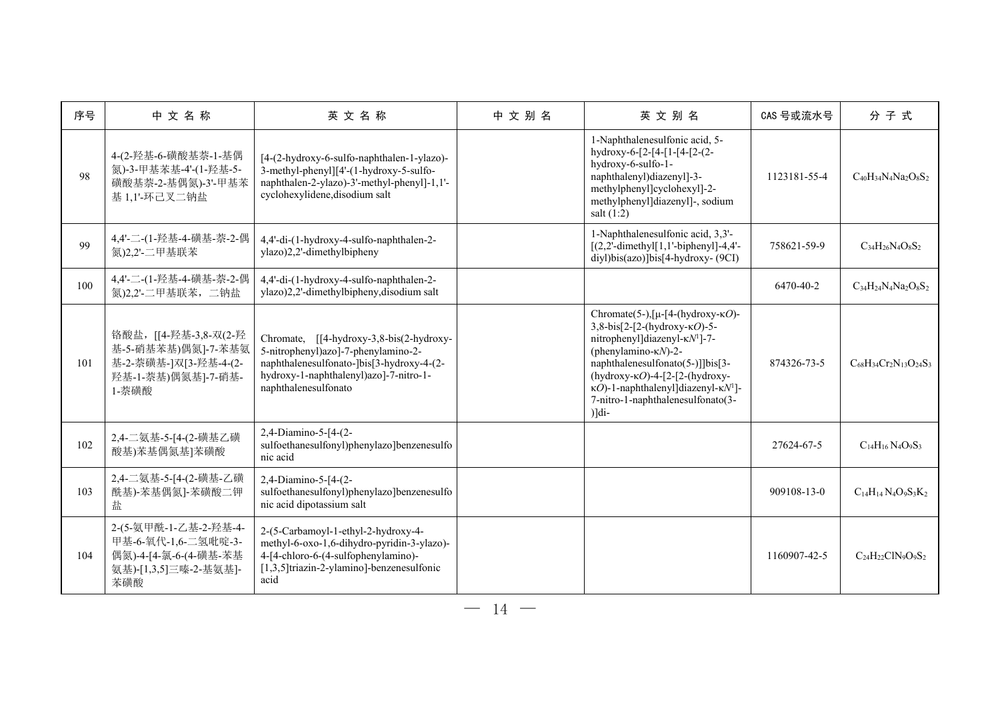| 序号  | 中文名称                                                                                                  | 英文名称                                                                                                                                                                                           | 中文别名 | 英文别名                                                                                                                                                                                                                                                                                                                                                                             | CAS 号或流水号    | 分子式                               |
|-----|-------------------------------------------------------------------------------------------------------|------------------------------------------------------------------------------------------------------------------------------------------------------------------------------------------------|------|----------------------------------------------------------------------------------------------------------------------------------------------------------------------------------------------------------------------------------------------------------------------------------------------------------------------------------------------------------------------------------|--------------|-----------------------------------|
| 98  | 4-(2-羟基-6-磺酸基萘-1-基偶<br>氮)-3-甲基苯基-4'-(1-羟基-5-<br>磺酸基萘-2-基偶氮)-3'-甲基苯<br>基 1,1'-环己叉二钠盐                   | [4-(2-hydroxy-6-sulfo-naphthalen-1-ylazo)-<br>3-methyl-phenyl][4'-(1-hydroxy-5-sulfo-<br>naphthalen-2-ylazo)-3'-methyl-phenyl]-1,1'-<br>cyclohexylidene, disodium salt                         |      | 1-Naphthalenesulfonic acid, 5-<br>hydroxy-6-[2-[4-[1-[4-[2-(2-<br>hydroxy-6-sulfo-1-<br>naphthalenyl)diazenyl]-3-<br>methylphenyl]cyclohexyl]-2-<br>methylphenyl]diazenyl]-, sodium<br>salt $(1:2)$                                                                                                                                                                              | 1123181-55-4 | $C_{40}H_{34}N_4Na_2O_8S_2$       |
| 99  | 4,4'-二-(1-羟基-4-磺基-萘-2-偶<br>氮)2,2'-二甲基联苯                                                               | 4,4'-di-(1-hydroxy-4-sulfo-naphthalen-2-<br>ylazo)2,2'-dimethylbipheny                                                                                                                         |      | 1-Naphthalenesulfonic acid, 3,3'-<br>$[(2,2'-dimethyl[1,1'-bipheny1]-4,4'-$<br>diyl)bis(azo)]bis[4-hydroxy-(9CI)                                                                                                                                                                                                                                                                 | 758621-59-9  | $C_{34}H_{26}N_{4}O_{8}S_{2}$     |
| 100 | 4,4'-二-(1-羟基-4-磺基-萘-2-偶<br>氮)2,2'-二甲基联苯, 二钠盐                                                          | 4,4'-di-(1-hydroxy-4-sulfo-naphthalen-2-<br>ylazo)2,2'-dimethylbipheny,disodium salt                                                                                                           |      |                                                                                                                                                                                                                                                                                                                                                                                  | 6470-40-2    | $C_{34}H_{24}N_4Na_2O_8S_2$       |
| 101 | 铬酸盐, [[4-羟基-3,8-双(2-羟<br>基-5-硝基苯基)偶氮]-7-苯基氨<br>基-2-萘磺基-]双[3-羟基-4-(2-<br>羟基-1-萘基)偶氮基]-7-硝基-<br>1-萘磺酸   | Chromate, [[4-hydroxy-3,8-bis(2-hydroxy-<br>5-nitrophenyl)azo]-7-phenylamino-2-<br>naphthalenesulfonato-]bis[3-hydroxy-4-(2-<br>hydroxy-1-naphthalenyl)azo]-7-nitro-1-<br>naphthalenesulfonato |      | Chromate(5-), $[\mu$ - $[4-(\text{hydroxy-} \kappa O)$ -<br>$3,8-bis[2-[2-(hydroxy-\kappaO)-5-$<br>nitrophenyl]diazenyl-KN <sup>1</sup> ]-7-<br>(phenylamino- $\kappa N$ )-2-<br>naphthalenesulfonato(5-)]]bis[3-<br>(hydroxy- $\kappa$ O)-4-[2-[2-(hydroxy-<br>$\kappa$ O)-1-naphthalenyl]diazenyl- $\kappa$ N <sup>1</sup> ]-<br>7-nitro-1-naphthalenesulfonato(3-<br>$)]$ di- | 874326-73-5  | $C_{68}H_{34}Cr_2N_{13}O_{24}S_3$ |
| 102 | 2,4-二氨基-5-[4-(2-磺基乙磺<br>酸基)苯基偶氮基]苯磺酸                                                                  | 2,4-Diamino-5-[4-(2-<br>sulfoethanesulfonyl)phenylazo]benzenesulfo<br>nic acid                                                                                                                 |      |                                                                                                                                                                                                                                                                                                                                                                                  | 27624-67-5   | $C_{14}H_{16}N_4O_9S_3$           |
| 103 | 2,4-二氨基-5-[4-(2-磺基-乙磺<br>酰基)-苯基偶氮]-苯磺酸二钾<br>盐                                                         | 2,4-Diamino-5-[4-(2-<br>sulfoethanesulfonyl)phenylazo]benzenesulfo<br>nic acid dipotassium salt                                                                                                |      |                                                                                                                                                                                                                                                                                                                                                                                  | 909108-13-0  | $C_{14}H_{14}N_4O_9S_3K_2$        |
| 104 | 2-(5-氨甲酰-1-乙基-2-羟基-4-<br>甲基-6-氧代-1,6-二氢吡啶-3-<br>偶氮)-4-[4-氯-6-(4-磺基-苯基<br>氨基)-[1,3,5]三嗪-2-基氨基]-<br>苯磺酸 | 2-(5-Carbamoyl-1-ethyl-2-hydroxy-4-<br>methyl-6-oxo-1,6-dihydro-pyridin-3-ylazo)-<br>4-[4-chloro-6-(4-sulfophenylamino)-<br>[1,3,5]triazin-2-ylamino]-benzenesulfonic<br>acid                  |      |                                                                                                                                                                                                                                                                                                                                                                                  | 1160907-42-5 | $C_{24}H_{22}CIN_9O_9S_2$         |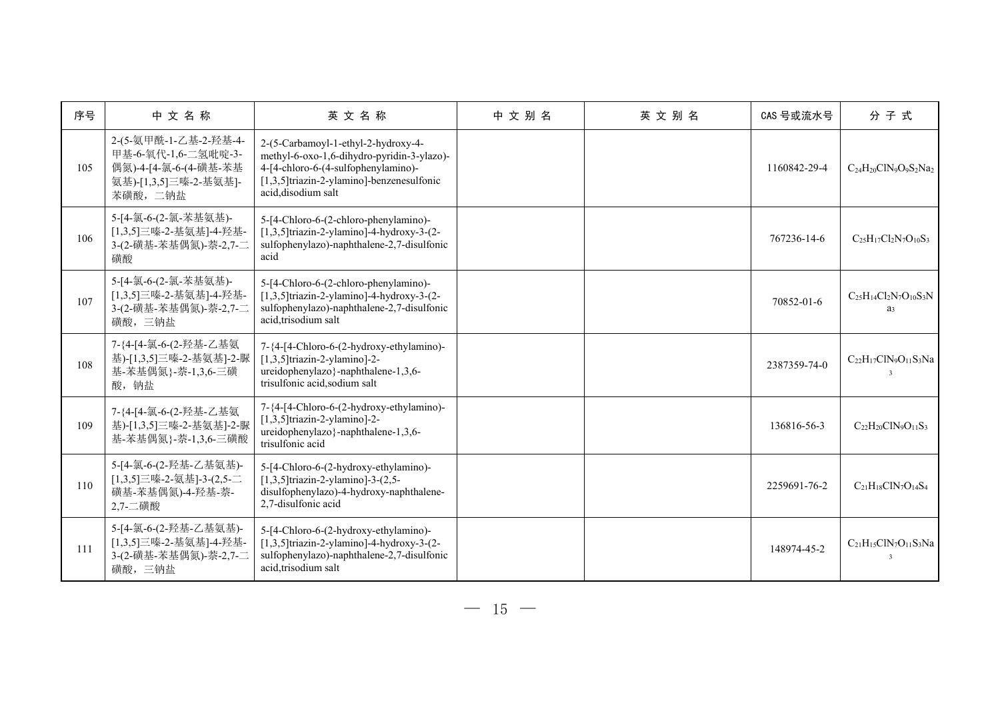| 序号  | 中文名称                                                                                                       | 英文名称                                                                                                                                                                                         | 中文别名 | 英文别名 | CAS 号或流水号    | 分子式                                               |
|-----|------------------------------------------------------------------------------------------------------------|----------------------------------------------------------------------------------------------------------------------------------------------------------------------------------------------|------|------|--------------|---------------------------------------------------|
| 105 | 2-(5-氨甲酰-1-乙基-2-羟基-4-<br>甲基-6-氧代-1,6-二氢吡啶-3-<br>偶氮)-4-[4-氯-6-(4-磺基-苯基<br>氨基)-[1,3,5]三嗪-2-基氨基]-<br>苯磺酸, 二钠盐 | 2-(5-Carbamoyl-1-ethyl-2-hydroxy-4-<br>methyl-6-oxo-1,6-dihydro-pyridin-3-ylazo)-<br>4-[4-chloro-6-(4-sulfophenylamino)-<br>[1,3,5]triazin-2-ylamino]-benzenesulfonic<br>acid, disodium salt |      |      | 1160842-29-4 | $C_{24}H_{20}CIN_9O_9S_2Na_2$                     |
| 106 | 5-[4-氯-6-(2-氯-苯基氨基)-<br>[1,3,5]三嗪-2-基氨基]-4-羟基-<br>3-(2-磺基-苯基偶氮)-萘-2,7-二<br>磺酸                              | 5-[4-Chloro-6-(2-chloro-phenylamino)-<br>$[1,3,5]$ triazin-2-ylamino]-4-hydroxy-3-(2-<br>sulfophenylazo)-naphthalene-2,7-disulfonic<br>acid                                                  |      |      | 767236-14-6  | $C_{25}H_{17}Cl_2N_7O_{10}S_3$                    |
| 107 | 5-[4-氯-6-(2-氯-苯基氨基)-<br>[1,3,5]三嗪-2-基氨基]-4-羟基-<br>3-(2-磺基-苯基偶氮)-萘-2,7-二<br>磺酸,三钠盐                          | 5-[4-Chloro-6-(2-chloro-phenylamino)-<br>$[1,3,5]$ triazin-2-ylamino]-4-hydroxy-3-(2-<br>sulfophenylazo)-naphthalene-2,7-disulfonic<br>acid, trisodium salt                                  |      |      | 70852-01-6   | $C_{25}H_{14}Cl_2N_7O_{10}S_3N$<br>a <sub>3</sub> |
| 108 | 7-{4-[4-氯-6-(2-羟基-乙基氨<br>基)-[1,3,5]三嗪-2-基氨基]-2-脲<br>基-苯基偶氮 }-萘-1,3,6-三磺<br>酸, 钠盐                           | 7-{4-[4-Chloro-6-(2-hydroxy-ethylamino)-<br>$[1,3,5]$ triazin-2-ylamino]-2-<br>ureidophenylazo}-naphthalene-1,3,6-<br>trisulfonic acid,sodium salt                                           |      |      | 2387359-74-0 | $C_{22}H_{17}C1N_9O_{11}S_3Na$                    |
| 109 | 7-{4-[4-氯-6-(2-羟基-乙基氨<br>基)-[1,3,5]三嗪-2-基氨基]-2-脲<br>基-苯基偶氮 }-萘-1,3,6-三磺酸                                   | $7-\{4-[4-Chloro-6-(2-hydroxy-ethylamino)-$<br>$[1,3,5]$ triazin-2-ylamino]-2-<br>ureidophenylazo}-naphthalene-1,3,6-<br>trisulfonic acid                                                    |      |      | 136816-56-3  | $C_{22}H_{20}CIN_{9}O_{11}S_{3}$                  |
| 110 | 5-[4-氯-6-(2-羟基-乙基氨基)-<br>[1,3,5]三嗪-2-氨基]-3-(2,5-二<br>磺基-苯基偶氮)-4-羟基-萘-<br>2,7-二磺酸                           | 5-[4-Chloro-6-(2-hydroxy-ethylamino)-<br>$[1,3,5]$ triazin-2-ylamino]-3- $(2,5-$<br>disulfophenylazo)-4-hydroxy-naphthalene-<br>2,7-disulfonic acid                                          |      |      | 2259691-76-2 | $C_{21}H_{18}C1N_7O_{14}S_4$                      |
| 111 | 5-[4-氯-6-(2-羟基-乙基氨基)-<br>[1,3,5]三嗪-2-基氨基]-4-羟基-<br>3-(2-磺基-苯基偶氮)-萘-2,7-二<br>磺酸,三钠盐                         | 5-[4-Chloro-6-(2-hydroxy-ethylamino)-<br>$[1,3,5]$ triazin-2-ylamino]-4-hydroxy-3-(2-<br>sulfophenylazo)-naphthalene-2,7-disulfonic<br>acid, trisodium salt                                  |      |      | 148974-45-2  | $C_{21}H_{15}CIN_7O_{11}S_3Na$<br>$\mathbf{3}$    |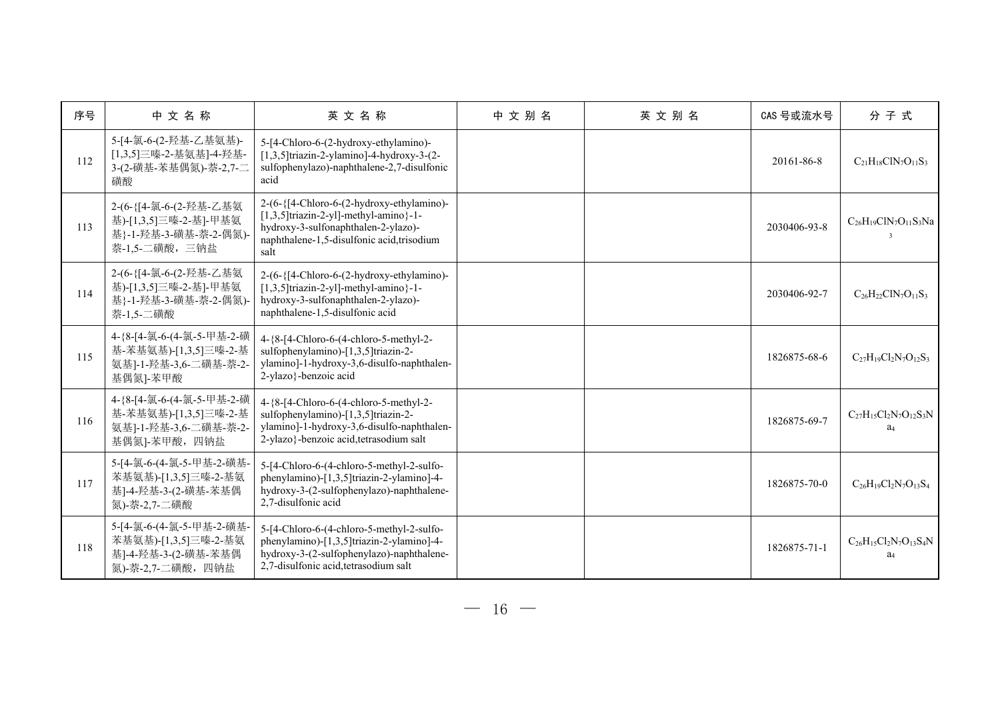| 序号  | 中文名称                                                                                         | 英文名称                                                                                                                                                                               | 中文别名 | 英文别名 | CAS 号或流水号    | 分子式                                               |
|-----|----------------------------------------------------------------------------------------------|------------------------------------------------------------------------------------------------------------------------------------------------------------------------------------|------|------|--------------|---------------------------------------------------|
| 112 | 5-[4-氯-6-(2-羟基-乙基氨基)-<br>[1,3,5]三嗪-2-基氨基]-4-羟基-<br>3-(2-磺基-苯基偶氮)-萘-2,7-二<br>磺酸               | 5-[4-Chloro-6-(2-hydroxy-ethylamino)-<br>$[1,3,5]$ triazin-2-ylamino]-4-hydroxy-3-(2-<br>sulfophenylazo)-naphthalene-2,7-disulfonic<br>acid                                        |      |      | 20161-86-8   | $C_{21}H_{18}CIN_7O_{11}S_3$                      |
| 113 | 2-(6-{[4-氯-6-(2-羟基-乙基氨<br>基)-[1,3,5]三嗪-2-基]-甲基氨<br>基}-1-羟基-3-磺基-萘-2-偶氮)<br>萘-1,5-二磺酸,三钠盐     | 2-(6-{[4-Chloro-6-(2-hydroxy-ethylamino)-<br>$[1,3,5]$ triazin-2-yl]-methyl-amino}-1-<br>hydroxy-3-sulfonaphthalen-2-ylazo)-<br>naphthalene-1,5-disulfonic acid, trisodium<br>salt |      |      | 2030406-93-8 | $C_{26}H_{19}C1N_7O_{11}S_3Na$<br>$\mathbf{3}$    |
| 114 | 2-(6-{[4-氯-6-(2-羟基-乙基氨<br>基)-[1,3,5]三嗪-2-基]-甲基氨<br>基}-1-羟基-3-磺基-萘-2-偶氮)<br>萘-1,5-二磺酸         | 2-(6-{[4-Chloro-6-(2-hydroxy-ethylamino)-<br>$[1,3,5]$ triazin-2-yl]-methyl-amino}-1-<br>hydroxy-3-sulfonaphthalen-2-ylazo)-<br>naphthalene-1,5-disulfonic acid                    |      |      | 2030406-92-7 | $C_{26}H_{22}CIN_7O_{11}S_3$                      |
| 115 | 4-{8-[4-氯-6-(4-氯-5-甲基-2-磺<br>基-苯基氨基)-[1,3,5]三嗪-2-基<br>氨基]-1-羟基-3,6-二磺基-萘-2-<br>基偶氮]-苯甲酸      | 4-{8-[4-Chloro-6-(4-chloro-5-methyl-2-<br>sulfophenylamino)-[1,3,5]triazin-2-<br>ylamino]-1-hydroxy-3,6-disulfo-naphthalen-<br>2-ylazo}-benzoic acid                               |      |      | 1826875-68-6 | $C_{27}H_{19}Cl_2N_7O_{12}S_3$                    |
| 116 | 4-{8-[4-氯-6-(4-氯-5-甲基-2-磺<br>基-苯基氨基)-[1,3,5]三嗪-2-基<br>氨基]-1-羟基-3,6-二磺基-萘-2-<br>基偶氮]-苯甲酸, 四钠盐 | 4-{8-[4-Chloro-6-(4-chloro-5-methyl-2-<br>sulfophenylamino)-[1,3,5]triazin-2-<br>ylamino]-1-hydroxy-3,6-disulfo-naphthalen-<br>2-ylazo}-benzoic acid, tetrasodium salt             |      |      | 1826875-69-7 | $C_{27}H_{15}Cl_2N_7O_{12}S_3N$<br>a <sub>4</sub> |
| 117 | 5-[4-氯-6-(4-氯-5-甲基-2-磺基-<br>苯基氨基)-[1,3,5]三嗪-2-基氨<br>基]-4-羟基-3-(2-磺基-苯基偶<br>氮)-萘-2,7-二磺酸      | 5-[4-Chloro-6-(4-chloro-5-methyl-2-sulfo-<br>phenylamino)-[1,3,5]triazin-2-ylamino]-4-<br>hydroxy-3-(2-sulfophenylazo)-naphthalene-<br>2,7-disulfonic acid                         |      |      | 1826875-70-0 | $C_{26}H_{19}Cl_2N_7O_{13}S_4$                    |
| 118 | 5-[4-氯-6-(4-氯-5-甲基-2-磺基-<br>苯基氨基)-[1,3,5]三嗪-2-基氨<br>基]-4-羟基-3-(2-磺基-苯基偶<br>氮)-萘-2,7-二磺酸, 四钠盐 | 5-[4-Chloro-6-(4-chloro-5-methyl-2-sulfo-<br>phenylamino)-[1,3,5]triazin-2-ylamino]-4-<br>hydroxy-3-(2-sulfophenylazo)-naphthalene-<br>2,7-disulfonic acid, tetrasodium salt       |      |      | 1826875-71-1 | $C_{26}H_{15}Cl_2N_7O_{13}S_4N$<br>a <sub>4</sub> |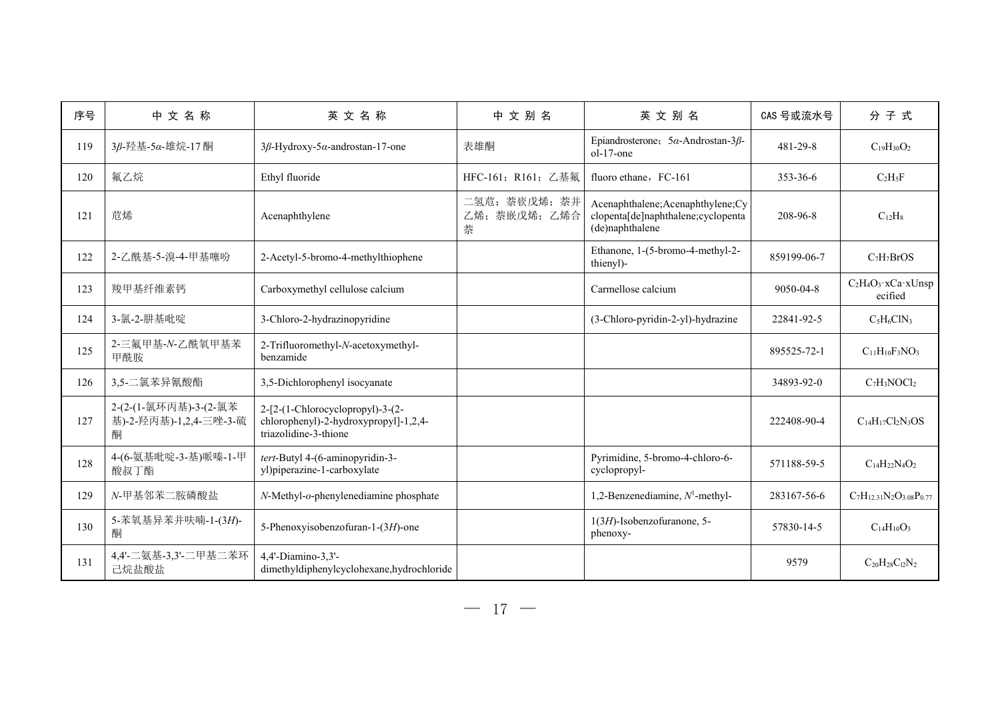| 序号  | 中文名称                                                 | 英文名称                                                                                               | 中文别名                                | 英文别名                                                                                        | CAS 号或流水号      | 分子式                                       |
|-----|------------------------------------------------------|----------------------------------------------------------------------------------------------------|-------------------------------------|---------------------------------------------------------------------------------------------|----------------|-------------------------------------------|
| 119 | 3β-羟基-5α-雄烷-17 酮                                     | $3\beta$ -Hydroxy-5 $\alpha$ -androstan-17-one                                                     | 表雄酮                                 | Epiandrosterone; $5\alpha$ -Androstan-3 $\beta$ -<br>ol-17-one                              | 481-29-8       | $C_{19}H_{30}O_2$                         |
| 120 | 氟乙烷                                                  | Ethyl fluoride                                                                                     | HFC-161; R161; 乙基氟                  | fluoro ethane, FC-161                                                                       | $353 - 36 - 6$ | $C_2H_5F$                                 |
| 121 | 苊烯                                                   | Acenaphthylene                                                                                     | 二氢苊; 萘嵚戊烯; 萘并<br>乙烯; 萘嵌戊烯; 乙烯合<br>萘 | Acenaphthalene; Acenaphthylene; Cy<br>clopenta[de]naphthalene;cyclopenta<br>(de)naphthalene | 208-96-8       | $C_{12}H_8$                               |
| 122 | 2-乙酰基-5-溴-4-甲基噻吩                                     | 2-Acetyl-5-bromo-4-methylthiophene                                                                 |                                     | Ethanone, 1-(5-bromo-4-methyl-2-<br>thienyl)-                                               | 859199-06-7    | $C_7H_7BrOS$                              |
| 123 | 羧甲基纤维素钙                                              | Carboxymethyl cellulose calcium                                                                    |                                     | Carmellose calcium                                                                          | 9050-04-8      | $C_2H_4O_3$ ·x $Ca$ ·x $U$ nsp<br>ecified |
| 124 | 3-氯-2-肼基吡啶                                           | 3-Chloro-2-hydrazinopyridine                                                                       |                                     | (3-Chloro-pyridin-2-yl)-hydrazine                                                           | 22841-92-5     | $C_5H_6CIN_3$                             |
| 125 | 2-三氟甲基-N-乙酰氧甲基苯<br>甲酰胺                               | 2-Trifluoromethyl-N-acetoxymethyl-<br>benzamide                                                    |                                     |                                                                                             | 895525-72-1    | $C_{11}H_{10}F_3NO_3$                     |
| 126 | 3,5-二氯苯异氰酸酯                                          | 3,5-Dichlorophenyl isocyanate                                                                      |                                     |                                                                                             | 34893-92-0     | $C_7H_3NOCl_2$                            |
| 127 | 2-(2-(1-氯环丙基)-3-(2-氯苯<br>基)-2-羟丙基)-1,2,4-三唑-3-硫<br>酮 | 2-[2-(1-Chlorocyclopropyl)-3-(2-<br>chlorophenyl)-2-hydroxypropyl]-1,2,4-<br>triazolidine-3-thione |                                     |                                                                                             | 222408-90-4    | $C_{14}H_{17}Cl_2N_3OS$                   |
| 128 | 4-(6-氨基吡啶-3-基)哌嗪-1-甲<br>酸叔丁酯                         | tert-Butyl 4-(6-aminopyridin-3-<br>yl)piperazine-1-carboxylate                                     |                                     | Pyrimidine, 5-bromo-4-chloro-6-<br>cyclopropyl-                                             | 571188-59-5    | $C_{14}H_{22}N_4O_2$                      |
| 129 | N-甲基邻苯二胺磷酸盐                                          | N-Methyl-o-phenylenediamine phosphate                                                              |                                     | 1,2-Benzenediamine, $N^1$ -methyl-                                                          | 283167-56-6    | $C_7H_{12.31}N_2O_{3.08}P_{0.77}$         |
| 130 | 5-苯氧基异苯并呋喃-1-(3H)-<br>酮                              | 5-Phenoxyisobenzofuran-1-(3H)-one                                                                  |                                     | 1(3H)-Isobenzofuranone, 5-<br>phenoxy-                                                      | 57830-14-5     | $C_{14}H_{10}O_3$                         |
| 131 | 4,4'-二氨基-3,3'-二甲基二苯环<br>己烷盐酸盐                        | 4,4'-Diamino-3,3'-<br>dimethyldiphenylcyclohexane,hydrochloride                                    |                                     |                                                                                             | 9579           | $C_{20}H_{28}C_{12}N_2$                   |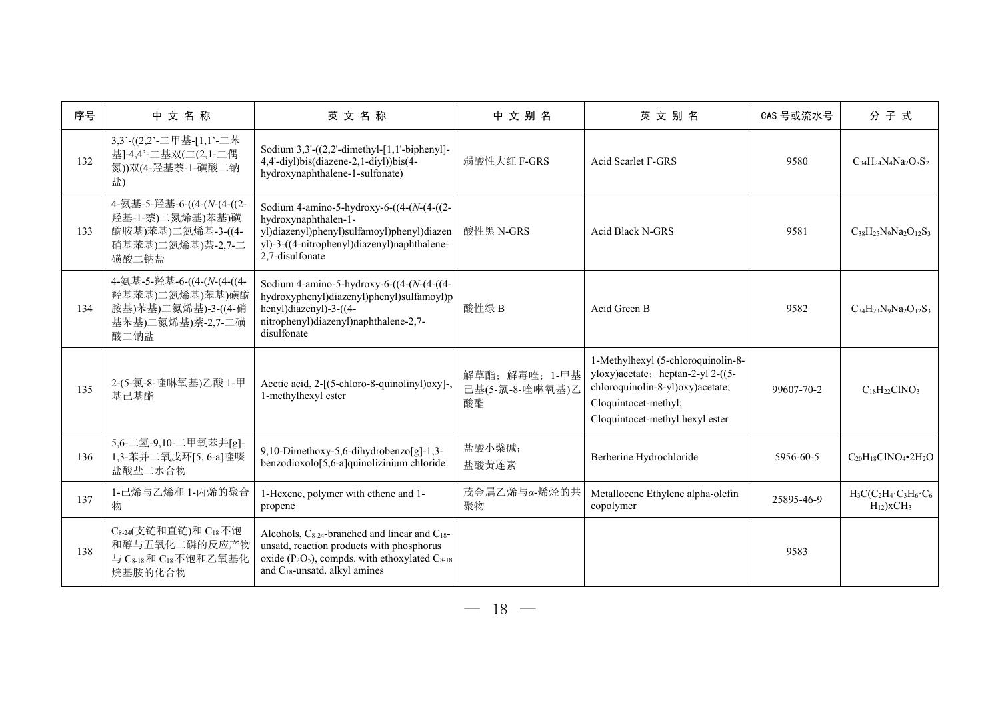| 序号  | 中文名称                                                                                                                       | 英文名称                                                                                                                                                                                                                 | 中文别名                                  | 英文别名                                                                                                                                                                   | CAS 号或流水号  | 分子式                                                        |
|-----|----------------------------------------------------------------------------------------------------------------------------|----------------------------------------------------------------------------------------------------------------------------------------------------------------------------------------------------------------------|---------------------------------------|------------------------------------------------------------------------------------------------------------------------------------------------------------------------|------------|------------------------------------------------------------|
| 132 | 3,3'-((2,2'-二甲基-[1,1'-二苯<br>基]-4,4'-二基双(二(2,1-二偶<br>氮))双(4-羟基萘-1-磺酸二钠<br>盐)                                                | Sodium $3,3'$ - $((2,2'$ -dimethyl-[1,1'-biphenyl]-<br>4,4'-diyl)bis(diazene-2,1-diyl))bis(4-<br>hydroxynaphthalene-1-sulfonate)                                                                                     | 弱酸性大红 F-GRS                           | <b>Acid Scarlet F-GRS</b>                                                                                                                                              | 9580       | $C_{34}H_{24}N_4Na_2O_8S_2$                                |
| 133 | 4-氨基-5-羟基-6-((4-(N-(4-((2-<br>羟基-1-萘)二氮烯基)苯基)磺<br>酰胺基)苯基)二氮烯基-3-((4-<br>硝基苯基)二氮烯基)萘-2,7-二<br>磺酸二钠盐                         | Sodium 4-amino-5-hydroxy-6- $((4-(N-4)(2-$<br>hydroxynaphthalen-1-<br>yl)diazenyl)phenyl)sulfamoyl)phenyl)diazen<br>yl)-3-((4-nitrophenyl)diazenyl)naphthalene-<br>2.7-disulfonate                                   | 酸性黑 N-GRS                             | Acid Black N-GRS                                                                                                                                                       | 9581       | $C_{38}H_{25}N_9Na_2O_{12}S_3$                             |
| 134 | 4-氨基-5-羟基-6-((4-(N-(4-((4-<br>羟基苯基)二氮烯基)苯基)磺酰<br>胺基)苯基)二氮烯基)-3-((4-硝<br>基苯基)二氮烯基)萘-2,7-二磺<br>酸二钠盐                          | Sodium 4-amino-5-hydroxy-6- $((4-(N-4)(4-1))$<br>hydroxyphenyl)diazenyl)phenyl)sulfamoyl)p<br>henyl)diazenyl)-3-((4-<br>nitrophenyl)diazenyl)naphthalene-2,7-<br>disulfonate                                         | 酸性绿 B                                 | Acid Green B                                                                                                                                                           | 9582       | $C_{34}H_{23}N_9Na_2O_{12}S_3$                             |
| 135 | 2-(5-氯-8-喹啉氧基)乙酸 1-甲<br>基己基酯                                                                                               | Acetic acid, 2-[(5-chloro-8-quinolinyl)oxy]-,<br>1-methylhexyl ester                                                                                                                                                 | 解草酯;解毒喹;1-甲基<br>己基(5-氯-8-喹啉氧基)乙<br>酸酯 | 1-Methylhexyl (5-chloroquinolin-8-<br>yloxy)acetate; heptan-2-yl 2-((5-<br>chloroquinolin-8-yl)oxy)acetate;<br>Cloquintocet-methyl;<br>Cloquintocet-methyl hexyl ester | 99607-70-2 | $C_{18}H_{22}CINO_3$                                       |
| 136 | 5,6-二氢-9,10-二甲氧苯并[g]-<br>1,3-苯并二氧戊环[5,6-a]喹嗪<br>盐酸盐二水合物                                                                    | 9,10-Dimethoxy-5,6-dihydrobenzo[g]-1,3-<br>benzodioxolo[5,6-a]quinolizinium chloride                                                                                                                                 | 盐酸小檗碱;<br>盐酸黄连素                       | Berberine Hydrochloride                                                                                                                                                | 5956-60-5  | $C_{20}H_{18}CINO_4\bullet 2H_2O$                          |
| 137 | 1-己烯与乙烯和 1-丙烯的聚合<br>物                                                                                                      | 1-Hexene, polymer with ethene and 1-<br>propene                                                                                                                                                                      | 茂金属乙烯与α-烯烃的共<br>聚物                    | Metallocene Ethylene alpha-olefin<br>copolymer                                                                                                                         | 25895-46-9 | $H_3C(C_2H_4 \cdot C_3H_6 \cdot C_6$<br>$H_{12}$ ) $xCH_3$ |
| 138 | C <sub>8-24</sub> (支链和直链)和 C <sub>18</sub> 不饱<br>和醇与五氧化二磷的反应产物<br>与 C <sub>8-18</sub> 和 C <sub>18</sub> 不饱和乙氧基化<br>烷基胺的化合物 | Alcohols, C <sub>8-24</sub> -branched and linear and C <sub>18</sub> -<br>unsatd, reaction products with phosphorus<br>oxide ( $P_2O_5$ ), compds. with ethoxylated $C_{8-18}$<br>and $C_{18}$ -unsatd. alkyl amines |                                       |                                                                                                                                                                        | 9583       |                                                            |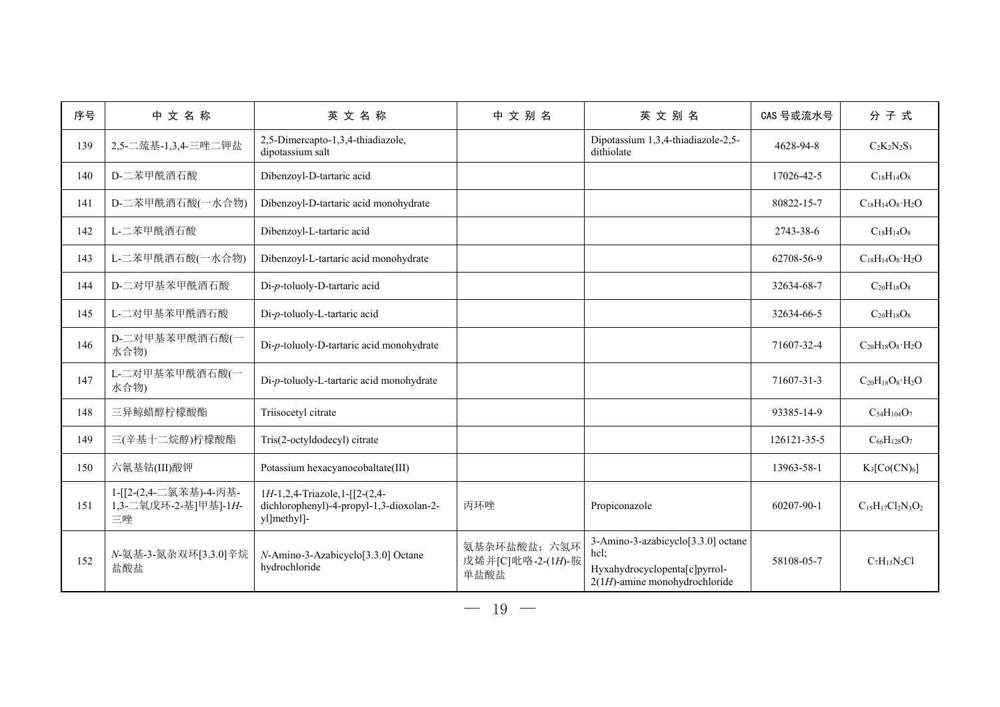| 序号  | 中文名称                                                 | 英文名称                                                                                     | 中文别名                                     | 英文别名                                                                                                            | CAS 号或流水号   | 分子式                          |
|-----|------------------------------------------------------|------------------------------------------------------------------------------------------|------------------------------------------|-----------------------------------------------------------------------------------------------------------------|-------------|------------------------------|
| 139 | 2,5-二巯基-1,3,4-三唑二钾盐                                  | 2,5-Dimercapto-1,3,4-thiadiazole,<br>dipotassium salt                                    |                                          | Dipotassium 1,3,4-thiadiazole-2,5-<br>dithiolate                                                                | 4628-94-8   | $C_2K_2N_2S_3$               |
| 140 | D-二苯甲酰酒石酸                                            | Dibenzoyl-D-tartaric acid                                                                |                                          |                                                                                                                 | 17026-42-5  | $C_{18}H_{14}O_8$            |
| 141 | D-二苯甲酰酒石酸(一水合物)                                      | Dibenzoyl-D-tartaric acid monohydrate                                                    |                                          |                                                                                                                 | 80822-15-7  | $C_{18}H_{14}O_8 \cdot H_2O$ |
| 142 | L-二苯甲酰酒石酸                                            | Dibenzoyl-L-tartaric acid                                                                |                                          |                                                                                                                 | 2743-38-6   | $C_{18}H_{14}O_8$            |
| 143 | L-二苯甲酰酒石酸(一水合物)                                      | Dibenzoyl-L-tartaric acid monohydrate                                                    |                                          |                                                                                                                 | 62708-56-9  | $C_{18}H_{14}O_8 \cdot H_2O$ |
| 144 | D-二对甲基苯甲酰酒石酸                                         | Di-p-toluoly-D-tartaric acid                                                             |                                          |                                                                                                                 | 32634-68-7  | $C_{20}H_{18}O_8$            |
| 145 | L-二对甲基苯甲酰酒石酸                                         | Di-p-toluoly-L-tartaric acid                                                             |                                          |                                                                                                                 | 32634-66-5  | $C_{20}H_{18}O_8$            |
| 146 | D-二对甲基苯甲酰酒石酸(一<br>水合物)                               | Di-p-toluoly-D-tartaric acid monohydrate                                                 |                                          |                                                                                                                 | 71607-32-4  | $C_{20}H_{18}O_8 \cdot H_2O$ |
| 147 | L-二对甲基苯甲酰酒石酸(一<br>水合物)                               | Di-p-toluoly-L-tartaric acid monohydrate                                                 |                                          |                                                                                                                 | 71607-31-3  | $C_{20}H_{18}O_8 \cdot H_2O$ |
| 148 | 三异鲸蜡醇柠檬酸酯                                            | Triisocetyl citrate                                                                      |                                          |                                                                                                                 | 93385-14-9  | $C_{54}H_{104}O_7$           |
| 149 | 三(辛基十二烷醇)柠檬酸酯                                        | Tris(2-octyldodecyl) citrate                                                             |                                          |                                                                                                                 | 126121-35-5 | $C_{66}H_{128}O_7$           |
| 150 | 六氰基钴(III)酸钾                                          | Potassium hexacyanocobaltate(III)                                                        |                                          |                                                                                                                 | 13963-58-1  | $K_3[Co(CN)_6]$              |
| 151 | 1-[[2-(2,4-二氯苯基)-4-丙基-<br>1,3-二氧戊环-2-基]甲基]-1H-<br>三唑 | 1H-1,2,4-Triazole,1-[[2-(2,4-<br>dichlorophenyl)-4-propyl-1,3-dioxolan-2-<br>yl]methyl]- | 丙环唑                                      | Propiconazole                                                                                                   | 60207-90-1  | $C_{15}H_{17}Cl_2N_3O_2$     |
| 152 | N-氨基-3-氮杂双环[3.3.0]辛烷<br>盐酸盐                          | N-Amino-3-Azabicyclo[3.3.0] Octane<br>hydrochloride                                      | 氨基杂环盐酸盐;六氢环<br>戊烯并[C]吡咯-2-(1H)-胺<br>单盐酸盐 | 3-Amino-3-azabicyclo[3.3.0] octane<br>hcl;<br>Hyxahydrocyclopenta[c]pyrrol-<br>$2(1H)$ -amine monohydrochloride | 58108-05-7  | $C_7H_{15}N_2Cl$             |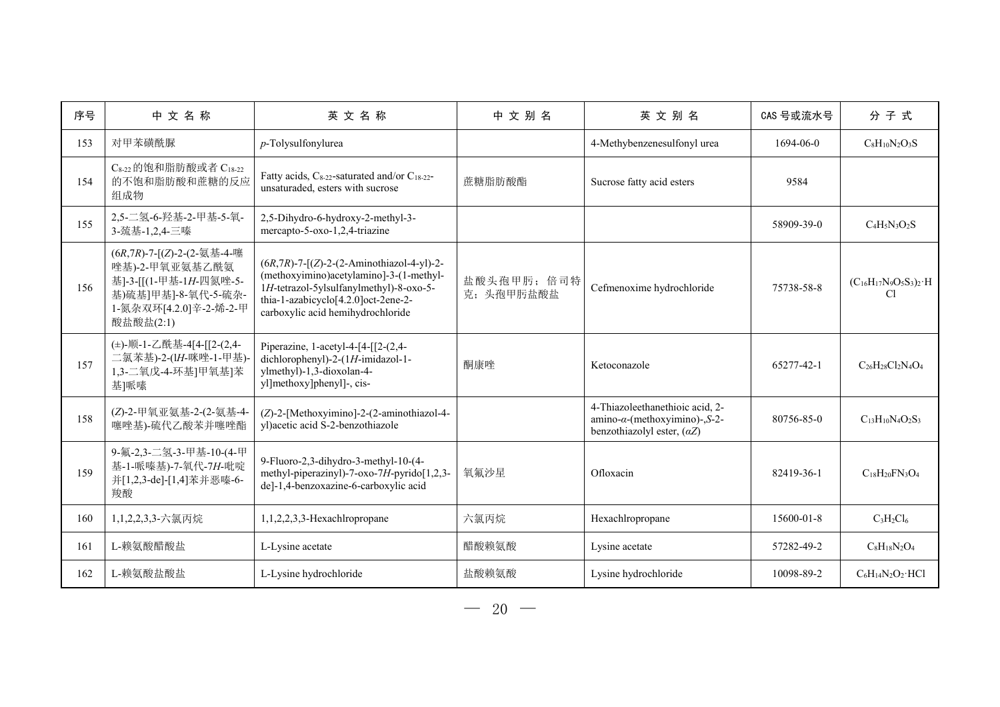| 序号  | 中文名称                                                                                                                                 | 英文名称                                                                                                                                                                                                           | 中文别名                     | 英文别名                                                                                                           | CAS 号或流水号  | 分子式                                                   |
|-----|--------------------------------------------------------------------------------------------------------------------------------------|----------------------------------------------------------------------------------------------------------------------------------------------------------------------------------------------------------------|--------------------------|----------------------------------------------------------------------------------------------------------------|------------|-------------------------------------------------------|
| 153 | 对甲苯磺酰脲                                                                                                                               | p-Tolysulfonylurea                                                                                                                                                                                             |                          | 4-Methybenzenesulfonyl urea                                                                                    | 1694-06-0  | $C_8H_{10}N_2O_3S$                                    |
| 154 | C8-22 的饱和脂肪酸或者 C18-22<br>的不饱和脂肪酸和蔗糖的反应<br>组成物                                                                                        | Fatty acids, C <sub>8-22</sub> -saturated and/or C <sub>18-22</sub> -<br>unsaturaded, esters with sucrose                                                                                                      | 蔗糖脂肪酸酯                   | Sucrose fatty acid esters                                                                                      | 9584       |                                                       |
| 155 | 2,5-二氢-6-羟基-2-甲基-5-氧-<br>3-巯基-1,2,4-三嗪                                                                                               | 2,5-Dihydro-6-hydroxy-2-methyl-3-<br>mercapto-5-oxo-1,2,4-triazine                                                                                                                                             |                          |                                                                                                                | 58909-39-0 | $C_4H_5N_3O_2S$                                       |
| 156 | (6R,7R)-7-[(Z)-2-(2-氨基-4-噻<br>唑基)-2-甲氧亚氨基乙酰氨<br>基]-3-[[(1-甲基-1H-四氮唑-5-<br>基)硫基]甲基]-8-氧代-5-硫杂-<br>1-氮杂双环[4.2.0]辛-2-烯-2-甲<br>酸盐酸盐(2:1) | $(6R,7R)$ -7-[(Z)-2-(2-Aminothiazol-4-yl)-2-<br>(methoxyimino)acetylamino]-3-(1-methyl-<br>1H-tetrazol-5ylsulfanylmethyl)-8-oxo-5-<br>thia-1-azabicyclo[4.2.0]oct-2ene-2-<br>carboxylic acid hemihydrochloride | 盐酸头孢甲肟; 倍司特<br>克;头孢甲肟盐酸盐 | Cefmenoxime hydrochloride                                                                                      | 75738-58-8 | $(C_{16}H_{17}N_9O_5S_3)_2 \cdot H$<br>C <sub>1</sub> |
| 157 | (±)-顺-1-乙酰基-4[4-[[2-(2,4-<br>二氯苯基)-2-(1H-咪唑-1-甲基)<br>1,3-二氧戊-4-环基]甲氧基]苯<br>基]哌嗉                                                      | Piperazine, 1-acetyl-4-[4-[[2-(2,4-<br>dichlorophenyl)-2-(1H-imidazol-1-<br>ylmethyl)-1,3-dioxolan-4-<br>yl]methoxy]phenyl]-, cis-                                                                             | 酮康唑                      | Ketoconazole                                                                                                   | 65277-42-1 | $C_{26}H_{28}Cl_2N_4O_4$                              |
| 158 | (Z)-2-甲氧亚氨基-2-(2-氨基-4-<br>噻唑基)-硫代乙酸苯并噻唑酯                                                                                             | (Z)-2-[Methoxyimino]-2-(2-aminothiazol-4-<br>yl)acetic acid S-2-benzothiazole                                                                                                                                  |                          | 4-Thiazoleethanethioic acid, 2-<br>$amino-\alpha$ -(methoxyimino)-, S-2-<br>benzothiazolyl ester, $(\alpha Z)$ | 80756-85-0 | $C_{13}H_{10}N_4O_2S_3$                               |
| 159 | 9-氟-2,3-二氢-3-甲基-10-(4-甲<br>基-1-哌嗪基)-7-氧代-7H-吡啶<br>并[1,2,3-de]-[1,4]苯并恶嗪-6-<br>羧酸                                                     | 9-Fluoro-2,3-dihydro-3-methyl-10-(4-<br>methyl-piperazinyl)-7-oxo-7H-pyrido[1,2,3-<br>de]-1,4-benzoxazine-6-carboxylic acid                                                                                    | 氧氟沙星                     | Ofloxacin                                                                                                      | 82419-36-1 | $C_{18}H_{20}FN_{3}O_{4}$                             |
| 160 | 1,1,2,2,3,3-六氯丙烷                                                                                                                     | $1,1,2,2,3,3$ -Hexachlropropane                                                                                                                                                                                | 六氯丙烷                     | Hexachlropropane                                                                                               | 15600-01-8 | $C_3H_2Cl_6$                                          |
| 161 | L-赖氨酸醋酸盐                                                                                                                             | L-Lysine acetate                                                                                                                                                                                               | 醋酸赖氨酸                    | Lysine acetate                                                                                                 | 57282-49-2 | $CsH18N2O4$                                           |
| 162 | L-赖氨酸盐酸盐                                                                                                                             | L-Lysine hydrochloride                                                                                                                                                                                         | 盐酸赖氨酸                    | Lysine hydrochloride                                                                                           | 10098-89-2 | $C_6H_{14}N_2O_2 \cdot HCl$                           |
|     |                                                                                                                                      |                                                                                                                                                                                                                |                          |                                                                                                                |            |                                                       |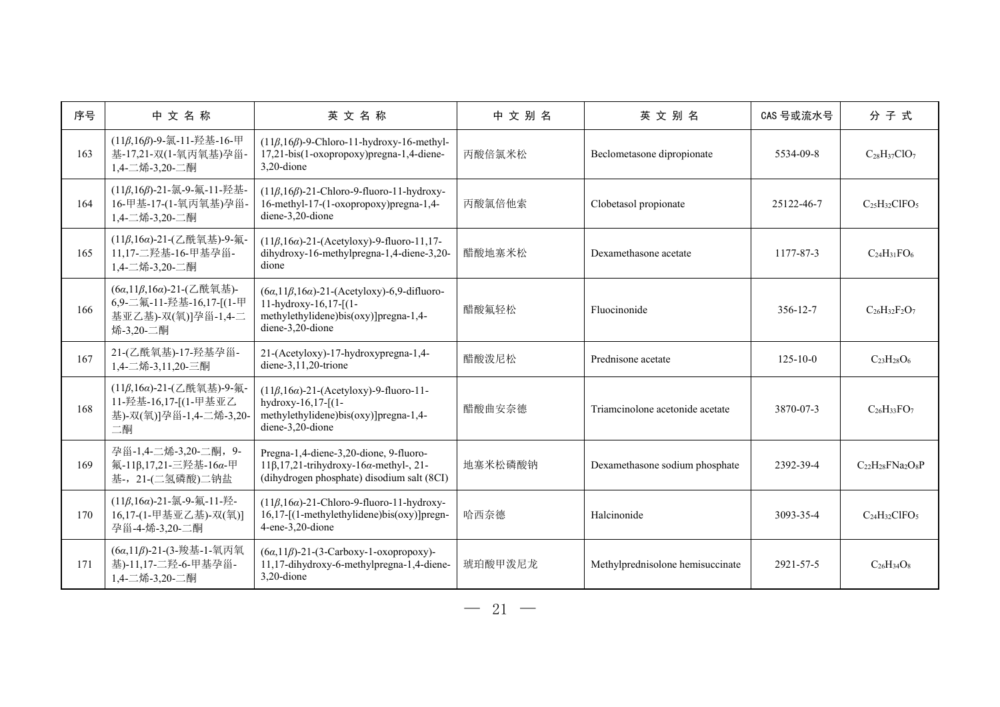| 序号  | 中文名称                                                                                    | 英文名称                                                                                                                                                 | 中文别名    | 英文别名                             | CAS 号或流水号      | 分子式                              |
|-----|-----------------------------------------------------------------------------------------|------------------------------------------------------------------------------------------------------------------------------------------------------|---------|----------------------------------|----------------|----------------------------------|
| 163 | (11β,16β)-9-氯-11-羟基-16-甲<br>基-17,21-双(1-氧丙氧基)孕甾-<br>1,4-二烯-3,20-二酮                      | $(11\beta, 16\beta)$ -9-Chloro-11-hydroxy-16-methyl-<br>17,21-bis(1-oxopropoxy)pregna-1,4-diene-<br>3,20-dione                                       | 丙酸倍氯米松  | Beclometasone dipropionate       | 5534-09-8      | $C_{28}H_{37}ClO_7$              |
| 164 | (11β,16β)-21-氯-9-氟-11-羟基-<br>16-甲基-17-(1-氧丙氧基)孕甾-<br>1,4-二烯-3,20-二酮                     | $(11\beta, 16\beta)$ -21-Chloro-9-fluoro-11-hydroxy-<br>16-methyl-17-(1-oxopropoxy)pregna-1,4-<br>diene-3,20-dione                                   | 丙酸氯倍他索  | Clobetasol propionate            | 25122-46-7     | $C_{25}H_{32}C$ IFO <sub>5</sub> |
| 165 | (11β,16α)-21-(乙酰氧基)-9-氟-<br>11,17-二羟基-16-甲基孕甾-<br>1,4-二烯-3,20-二酮                        | $(11\beta, 16\alpha)$ -21-(Acetyloxy)-9-fluoro-11,17-<br>dihydroxy-16-methylpregna-1,4-diene-3,20-<br>dione                                          | 醋酸地塞米松  | Dexamethasone acetate            | 1177-87-3      | $C_{24}H_{31}FO_6$               |
| 166 | (6α,11β,16α)-21-(乙酰氧基)-<br>6,9-二氟-11-羟基-16,17-[(1-甲<br>基亚乙基)-双(氧)]孕甾-1,4-二<br>烯-3,20-二酮 | $(6\alpha, 11\beta, 16\alpha)$ -21-(Acetyloxy)-6,9-difluoro-<br>11-hydroxy-16,17- $(1-$<br>methylethylidene)bis(oxy)]pregna-1,4-<br>diene-3,20-dione | 醋酸氟轻松   | Fluocinonide                     | 356-12-7       | $C_{26}H_{32}F_{2}O_{7}$         |
| 167 | 21-(乙酰氧基)-17-羟基孕甾-<br>1,4-二烯-3,11,20-三酮                                                 | 21-(Acetyloxy)-17-hydroxypregna-1,4-<br>diene- $3,11,20$ -trione                                                                                     | 醋酸泼尼松   | Prednisone acetate               | $125 - 10 - 0$ | $C_{23}H_{28}O_6$                |
| 168 | (11β,16α)-21-(乙酰氧基)-9-氟-<br>11-羟基-16,17-[(1-甲基亚乙<br>基)-双(氧)]孕甾-1,4-二烯-3,20-<br>二酮       | $(11\beta, 16\alpha)$ -21-(Acetyloxy)-9-fluoro-11-<br>hydroxy-16,17-[(1-<br>methylethylidene)bis(oxy)]pregna-1,4-<br>diene-3,20-dione                | 醋酸曲安奈德  | Triamcinolone acetonide acetate  | 3870-07-3      | $C_{26}H_{33}FO_7$               |
| 169 | 孕甾-1,4-二烯-3,20-二酮, 9-<br>氟-11β,17,21-三羟基-16α-甲<br>基-, 21-(二氢磷酸)二钠盐                      | Pregna-1,4-diene-3,20-dione, 9-fluoro-<br>$11\beta$ , 17, 21-trihydroxy-16 $\alpha$ -methyl-, 21-<br>(dihydrogen phosphate) disodium salt (8CI)      | 地塞米松磷酸钠 | Dexamethasone sodium phosphate   | 2392-39-4      | $C_{22}H_{28}FNa_2O_8P$          |
| 170 | (11β,16α)-21-氯-9-氟-11-羟-<br>16,17-(1-甲基亚乙基)-双(氧)]<br>孕甾-4-烯-3,20-二酮                     | $(11\beta, 16\alpha)$ -21-Chloro-9-fluoro-11-hydroxy-<br>$16,17$ -[(1-methylethylidene)bis(oxy)]pregn-<br>4-ene-3,20-dione                           | 哈西奈德    | Halcinonide                      | 3093-35-4      | $C24H32ClFO5$                    |
| 171 | (6α,11β)-21-(3-羧基-1-氧丙氧<br>基)-11,17-二羟-6-甲基孕甾-<br>1,4-二烯-3,20-二酮                        | $(6\alpha, 11\beta)$ -21-(3-Carboxy-1-oxopropoxy)-<br>11,17-dihydroxy-6-methylpregna-1,4-diene-<br>$3.20$ -dione                                     | 琥珀酸甲泼尼龙 | Methylprednisolone hemisuccinate | 2921-57-5      | $C_{26}H_{34}O_8$                |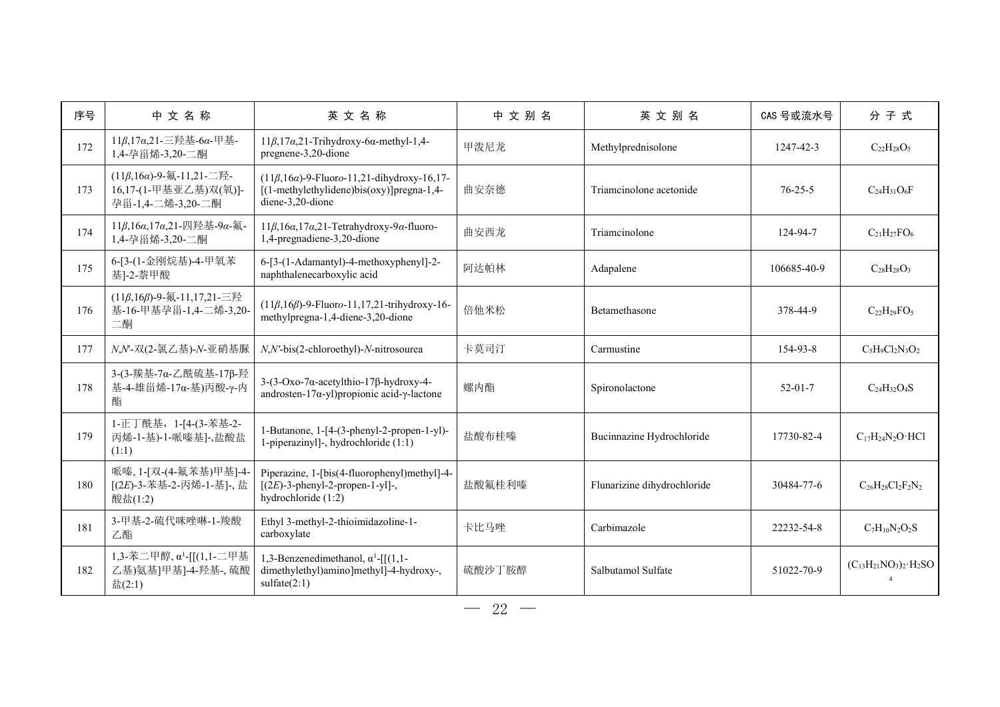| 序号  | 中文名称                                                                             | 英文名称                                                                                                                    | 中文别名   | 英文别名                        | CAS 号或流水号     | 分子式                                |
|-----|----------------------------------------------------------------------------------|-------------------------------------------------------------------------------------------------------------------------|--------|-----------------------------|---------------|------------------------------------|
| 172 | 11β,17α,21-三羟基-6α-甲基-<br>1,4-孕甾烯-3,20-二酮                                         | $11\beta, 17\alpha, 21$ -Trihydroxy-6 $\alpha$ -methyl-1,4-<br>pregnene-3,20-dione                                      | 甲泼尼龙   | Methylprednisolone          | 1247-42-3     | $C_{22}H_{28}O_5$                  |
| 173 | $(11β, 16α) - 9 - 4(11, 21 - 2)$ .<br>16,17-(1-甲基亚乙基)双(氧)]-<br>孕甾-1,4-二烯-3,20-二酮 | $(11\beta, 16\alpha)$ -9-Fluoro-11,21-dihydroxy-16,17-<br>[(1-methylethylidene)bis(oxy)]pregna-1,4-<br>diene-3,20-dione | 曲安奈德   | Triamcinolone acetonide     | $76 - 25 - 5$ | $C24H31O6F$                        |
| 174 | 11β,16α,17α,21-四羟基-9α-氟-<br>1,4-孕甾烯-3,20-二酮                                      | $11\beta, 16\alpha, 17\alpha, 21$ -Tetrahydroxy-9a-fluoro-<br>1,4-pregnadiene-3,20-dione                                | 曲安西龙   | Triamcinolone               | 124-94-7      | $C_{21}H_{27}FO_6$                 |
| 175 | 6-[3-(1-金刚烷基)-4-甲氧苯<br>基]-2-萘甲酸                                                  | 6-[3-(1-Adamantyl)-4-methoxyphenyl]-2-<br>naphthalenecarboxylic acid                                                    | 阿达帕林   | Adapalene                   | 106685-40-9   | $C_{28}H_{28}O_3$                  |
| 176 | (11β,16β)-9-氟-11,17,21-三羟<br>基-16-甲基孕甾-1,4-二烯-3,20<br>二酮                         | $(11\beta, 16\beta)$ -9-Fluoro-11,17,21-trihydroxy-16-<br>methylpregna-1,4-diene-3,20-dione                             | 倍他米松   | Betamethasone               | 378-44-9      | $C22H29FO5$                        |
| 177 | N,N-双(2-氯乙基)-N-亚硝基脲                                                              | N,N'-bis(2-chloroethyl)-N-nitrosourea                                                                                   | 卡莫司汀   | Carmustine                  | 154-93-8      | $C_5H_9Cl_2N_3O_2$                 |
| 178 | 3-(3-羰基-7α-乙酰硫基-17β-羟<br>基-4-雄甾烯-17α-基)丙酸-γ-内<br>酯                               | $3-(3-Oxo-7\alpha-acetylthio-17\beta-hydroxy-4-$<br>androsten-17 $\alpha$ -yl) propionic acid- $\gamma$ -lactone        | 螺内酯    | Spironolactone              | $52 - 01 - 7$ | $C_{24}H_{32}O_4S$                 |
| 179 | 1-正丁酰基, 1-[4-(3-苯基-2-<br>丙烯-1-基)-1-哌嗪基]-,盐酸盐<br>(1:1)                            | 1-Butanone, 1-[4-(3-phenyl-2-propen-1-yl)-<br>1-piperazinyl]-, hydrochloride (1:1)                                      | 盐酸布桂嗪  | Bucinnazine Hydrochloride   | 17730-82-4    | $C_{17}H_{24}N_2O \cdot HCl$       |
| 180 | 哌嗪, 1-[双-(4-氟苯基)甲基]-4-<br>[(2E)-3-苯基-2-丙烯-1-基]-, 盐<br>酸盐(1:2)                    | Piperazine, 1-[bis(4-fluorophenyl)methyl]-4-<br>$[(2E)-3$ -phenyl-2-propen-1-yl]-,<br>hydrochloride (1:2)               | 盐酸氟桂利嗪 | Flunarizine dihydrochloride | 30484-77-6    | $C_{26}H_{28}Cl_2F_2N_2$           |
| 181 | 3-甲基-2-硫代咪唑啉-1-羧酸<br>乙酯                                                          | Ethyl 3-methyl-2-thioimidazoline-1-<br>carboxylate                                                                      | 卡比马唑   | Carbimazole                 | 22232-54-8    | $C_7H_{10}N_2O_2S$                 |
| 182 | 1,3-苯二甲醇, α <sup>1</sup> -[[(1,1-二甲基<br>乙基)氨基]甲基]-4-羟基-,硫酸<br>$\pm(2:1)$         | 1,3-Benzenedimethanol, $\alpha^1$ -[[(1,1-<br>dimethylethyl)amino]methyl]-4-hydroxy-,<br>sulfate(2:1)                   | 硫酸沙丁胺醇 | Salbutamol Sulfate          | 51022-70-9    | $(C_{13}H_{21}NO_3)_2 \cdot H_2SO$ |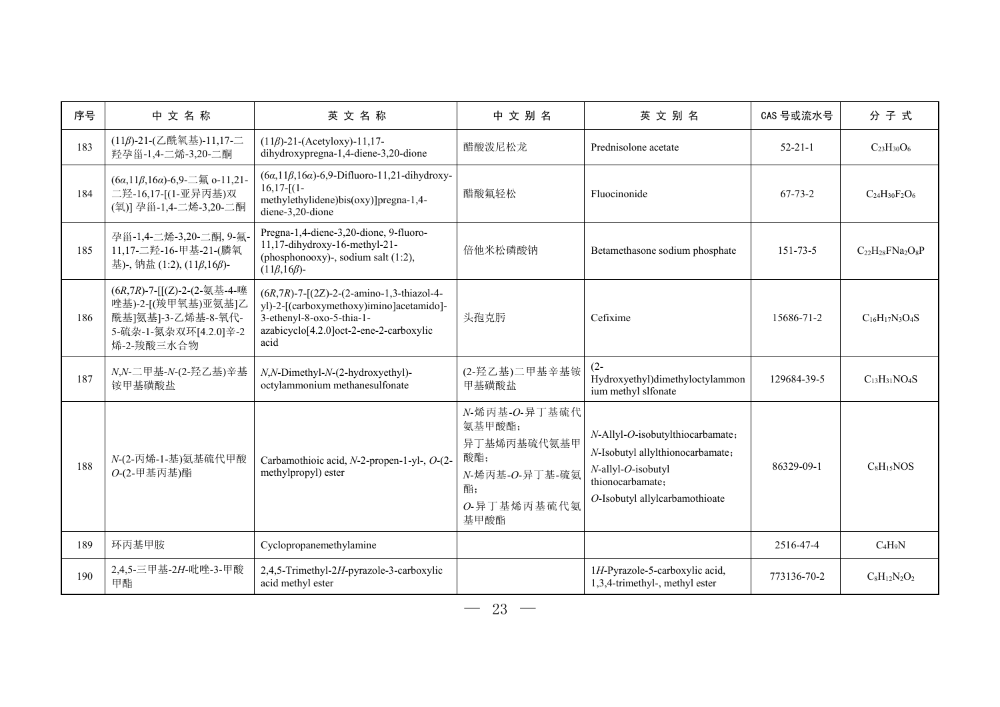| 序号  | 中文名称                                                                                                           | 英文名称                                                                                                                                                                             | 中文别名                                                                                         | 英文别名                                                                                                                                             | CAS 号或流水号      | 分子式                       |
|-----|----------------------------------------------------------------------------------------------------------------|----------------------------------------------------------------------------------------------------------------------------------------------------------------------------------|----------------------------------------------------------------------------------------------|--------------------------------------------------------------------------------------------------------------------------------------------------|----------------|---------------------------|
| 183 | (11β)-21-(乙酰氧基)-11,17-二<br>羟孕甾-1.4-二烯-3.20-二酮                                                                  | $(11\beta)$ -21-(Acetyloxy)-11,17-<br>dihydroxypregna-1,4-diene-3,20-dione                                                                                                       | 醋酸泼尼松龙                                                                                       | Prednisolone acetate                                                                                                                             | $52 - 21 - 1$  | $C_{23}H_{30}O_6$         |
| 184 | (6a,11β,16a)-6,9- $\equiv$ $\frac{1}{2}$ o-11,21-<br>二羟-16,17-[(1-亚异丙基)双<br>(氧)] 孕甾-1,4-二烯-3,20-二酮             | $(6\alpha, 11\beta, 16\alpha)$ -6,9-Difluoro-11,21-dihydroxy-<br>$16,17-[1-$<br>methylethylidene)bis(oxy)]pregna-1,4-<br>diene-3,20-dione                                        | 醋酸氟轻松                                                                                        | Fluocinonide                                                                                                                                     | $67 - 73 - 2$  | $C_{24}H_{30}F_{2}O_{6}$  |
| 185 | 孕甾-1,4-二烯-3,20-二酮, 9-氟<br>11,17-二羟-16-甲基-21-(膦氧<br>基)-, 钠盐 (1:2), (11β,16β)-                                   | Pregna-1,4-diene-3,20-dione, 9-fluoro-<br>11,17-dihydroxy-16-methyl-21-<br>(phosphonooxy)-, sodium salt (1:2),<br>$(11\beta, 16\beta)$ -                                         | 倍他米松磷酸钠                                                                                      | Betamethasone sodium phosphate                                                                                                                   | $151 - 73 - 5$ | $C_{22}H_{28}FN_{22}O_8P$ |
| 186 | (6R,7R)-7-[[(Z)-2-(2-氨基-4-噻<br>唑基)-2-[(羧甲氧基)亚氨基]乙<br>酰基]氨基]-3-乙烯基-8-氧代-<br>5-硫杂-1-氮杂双环[4.2.0]辛-2<br>烯-2-羧酸三水合物 | $(6R,7R)$ -7- $[(2Z)$ -2- $(2$ -amino-1,3-thiazol-4-<br>yl)-2-[(carboxymethoxy)imino]acetamido]-<br>3-ethenyl-8-oxo-5-thia-1-<br>azabicyclo[4.2.0]oct-2-ene-2-carboxylic<br>acid | 头孢克肟                                                                                         | Cefixime                                                                                                                                         | 15686-71-2     | $C_{16}H_{17}N_3O_4S$     |
| 187 | N,N-二甲基-N-(2-羟乙基)辛基<br>铵甲基磺酸盐                                                                                  | N,N-Dimethyl-N-(2-hydroxyethyl)-<br>octylammonium methanesulfonate                                                                                                               | (2-羟乙基)二甲基辛基铵<br>甲基磺酸盐                                                                       | $(2 -$<br>Hydroxyethyl)dimethyloctylammon<br>ium methyl slfonate                                                                                 | 129684-39-5    | $C_{13}H_{31}NO_4S$       |
| 188 | N-(2-丙烯-1-基)氨基硫代甲酸<br>O-(2-甲基丙基)酯                                                                              | Carbamothioic acid, N-2-propen-1-yl-, O-(2-<br>methylpropyl) ester                                                                                                               | N-烯丙基-O-异丁基硫代<br>氨基甲酸酯;<br>异丁基烯丙基硫代氨基甲<br>酸酯;<br>N-烯丙基-O-异丁基-硫氨<br>酯;<br>O-异丁基烯丙基硫代氨<br>基甲酸酯 | N-Allyl-O-isobutylthiocarbamate;<br>N-Isobutyl allylthionocarbamate;<br>N-allyl-O-isobutyl<br>thionocarbamate;<br>O-Isobutyl allylcarbamothioate | 86329-09-1     | $C_8H_15NOS$              |
| 189 | 环丙基甲胺                                                                                                          | Cyclopropanemethylamine                                                                                                                                                          |                                                                                              |                                                                                                                                                  | 2516-47-4      | $C_4H_9N$                 |
| 190 | 2,4,5-三甲基-2H-吡唑-3-甲酸<br>甲酯                                                                                     | 2,4,5-Trimethyl-2H-pyrazole-3-carboxylic<br>acid methyl ester                                                                                                                    |                                                                                              | 1H-Pyrazole-5-carboxylic acid,<br>1,3,4-trimethyl-, methyl ester                                                                                 | 773136-70-2    | $C_8H_{12}N_2O_2$         |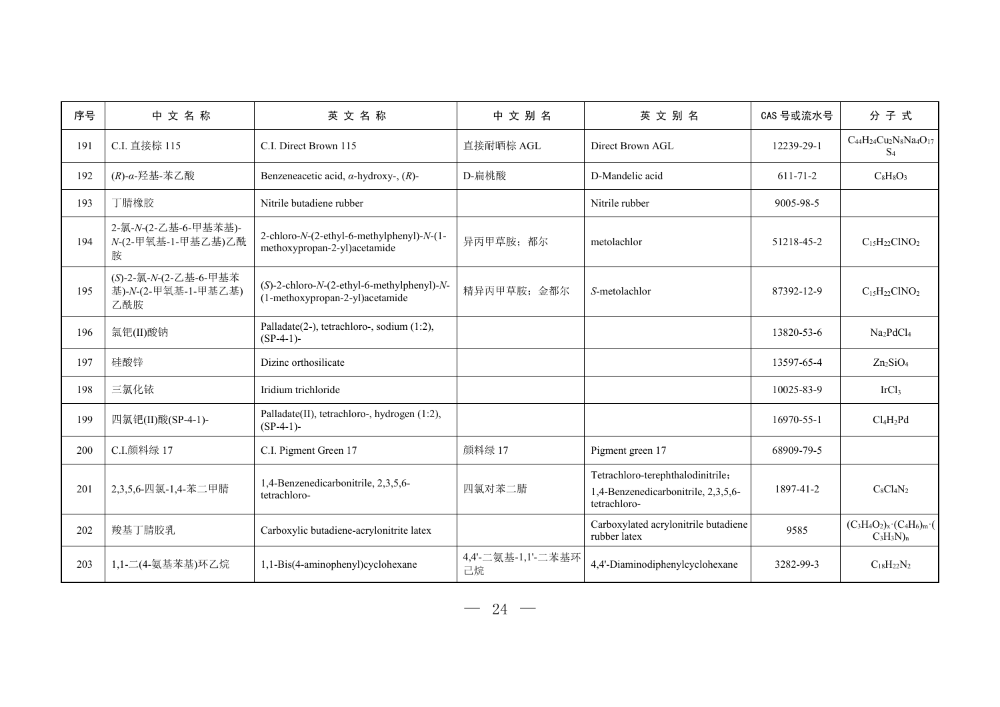| 序号  | 中文名称                                                | 英文名称                                                                                         | 中文别名                     | 英文别名                                                                                     | CAS 号或流水号      | 分子式                                                    |
|-----|-----------------------------------------------------|----------------------------------------------------------------------------------------------|--------------------------|------------------------------------------------------------------------------------------|----------------|--------------------------------------------------------|
| 191 | C.I. 直接棕 115                                        | C.I. Direct Brown 115                                                                        | 直接耐晒棕 AGL                | Direct Brown AGL                                                                         | 12239-29-1     | $C_{44}H_{24}Cu_2N_8Na_4O_{17}$<br>S <sub>4</sub>      |
| 192 | $(R)$ -α-羟基-苯乙酸                                     | Benzeneacetic acid, $\alpha$ -hydroxy-, $(R)$ -                                              | D-扁桃酸                    | D-Mandelic acid                                                                          | $611 - 71 - 2$ | $C_8H_8O_3$                                            |
| 193 | 丁腈橡胶                                                | Nitrile butadiene rubber                                                                     |                          | Nitrile rubber                                                                           | 9005-98-5      |                                                        |
| 194 | 2-氯-N-(2-乙基-6-甲基苯基)-<br>N-(2-甲氧基-1-甲基乙基)乙酰<br>胺     | 2-chloro-N-(2-ethyl-6-methylphenyl)-N-(1-<br>methoxypropan-2-yl)acetamide                    | 异丙甲草胺;都尔                 | metolachlor                                                                              | 51218-45-2     | $C_{15}H_{22}CINO_2$                                   |
| 195 | (S)-2-氯-N-(2-乙基-6-甲基苯<br>基)-N-(2-甲氧基-1-甲基乙基)<br>乙酰胺 | $(S)$ -2-chloro- $N$ - $(2$ -ethyl-6-methylphenyl)- $N$ -<br>(1-methoxypropan-2-yl)acetamide | 精异丙甲草胺;金都尔               | S-metolachlor                                                                            | 87392-12-9     | $C_{15}H_{22}CINO_2$                                   |
| 196 | 氯钯(II)酸钠                                            | Palladate(2-), tetrachloro-, sodium (1:2),<br>$(SP-4-1)$ -                                   |                          |                                                                                          | 13820-53-6     | Na <sub>2</sub> PdCl <sub>4</sub>                      |
| 197 | 硅酸锌                                                 | Dizinc orthosilicate                                                                         |                          |                                                                                          | 13597-65-4     | $Zn_2SiO4$                                             |
| 198 | 三氯化铱                                                | Iridium trichloride                                                                          |                          |                                                                                          | 10025-83-9     | IrCl <sub>3</sub>                                      |
| 199 | 四氯钯(II)酸(SP-4-1)-                                   | Palladate(II), tetrachloro-, hydrogen (1:2),<br>$(SP-4-1)$ -                                 |                          |                                                                                          | 16970-55-1     | $Cl_4H_2Pd$                                            |
| 200 | C.I.颜料绿 17                                          | C.I. Pigment Green 17                                                                        | 颜料绿 17                   | Pigment green 17                                                                         | 68909-79-5     |                                                        |
| 201 | 2,3,5,6-四氯-1,4-苯二甲腈                                 | 1,4-Benzenedicarbonitrile, 2,3,5,6-<br>tetrachloro-                                          | 四氯对苯二腈                   | Tetrachloro-terephthalodinitrile;<br>1,4-Benzenedicarbonitrile, 2,3,5,6-<br>tetrachloro- | 1897-41-2      | $C_8Cl_4N_2$                                           |
| 202 | 羧基丁腈胶乳                                              | Carboxylic butadiene-acrylonitrite latex                                                     |                          | Carboxylated acrylonitrile butadiene<br>rubber latex                                     | 9585           | $(C_3H_4O_2)_x \cdot (C_4H_6)_m \cdot$<br>$C_3H_3N)_n$ |
| 203 | 1,1-二(4-氨基苯基)环乙烷                                    | 1,1-Bis(4-aminophenyl)cyclohexane                                                            | 4,4'-二氨基-1,1'-二苯基环<br>己烷 | 4,4'-Diaminodiphenylcyclohexane                                                          | 3282-99-3      | $C_{18}H_{22}N_2$                                      |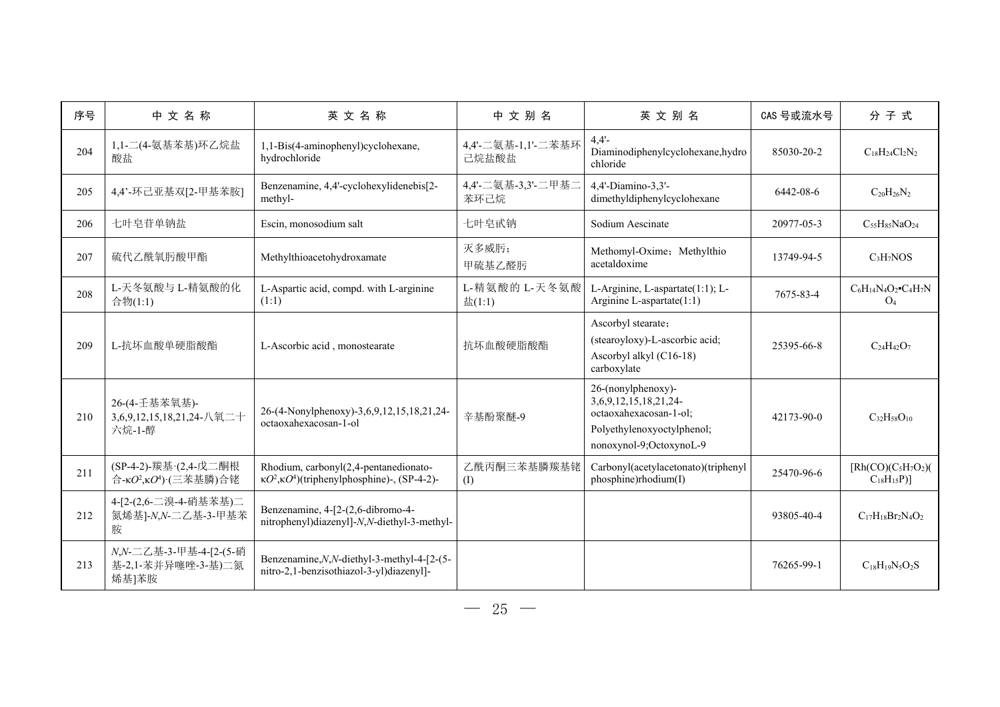| 序号  | 中文名称                                                      | 英文名称                                                                                                   | 中文别名                        | 英文别名                                                                                                                                  | CAS 号或流水号  | 分子式                                           |
|-----|-----------------------------------------------------------|--------------------------------------------------------------------------------------------------------|-----------------------------|---------------------------------------------------------------------------------------------------------------------------------------|------------|-----------------------------------------------|
| 204 | 1,1-二(4-氨基苯基)环乙烷盐<br>酸盐                                   | 1,1-Bis(4-aminophenyl)cyclohexane,<br>hydrochloride                                                    | 4,4'-二氨基-1,1'-二苯基环<br>己烷盐酸盐 | $4,4'$ -<br>Diaminodiphenylcyclohexane, hydro<br>chloride                                                                             | 85030-20-2 | $C_{18}H_{24}Cl_2N_2$                         |
| 205 | 4,4'-环己亚基双[2-甲基苯胺]                                        | Benzenamine, 4,4'-cyclohexylidenebis[2-<br>methyl-                                                     | 4,4'-二氨基-3,3'-二甲基二<br>苯环己烷  | 4,4'-Diamino-3,3'-<br>dimethyldiphenylcyclohexane                                                                                     | 6442-08-6  | $C_{20}H_{26}N_2$                             |
| 206 | 七叶皂苷单钠盐                                                   | Escin, monosodium salt                                                                                 | 七叶皂甙钠                       | Sodium Aescinate                                                                                                                      | 20977-05-3 | $C_{55}H_{85}NaO_{24}$                        |
| 207 | 硫代乙酰氧肟酸甲酯                                                 | Methylthioacetohydroxamate                                                                             | 灭多威肟;<br>甲硫基乙醛肟             | Methomyl-Oxime; Methylthio<br>acetaldoxime                                                                                            | 13749-94-5 | C <sub>3</sub> H <sub>7</sub> NOS             |
| 208 | L-天冬氨酸与 L-精氨酸的化<br>合物(1:1)                                | L-Aspartic acid, compd. with L-arginine<br>(1:1)                                                       | L-精氨酸的 L-天冬氨酸<br>$\pm(1:1)$ | L-Arginine, L-aspartate(1:1); L-<br>Arginine L-aspartate(1:1)                                                                         | 7675-83-4  | $C_6H_{14}N_4O_2$ $C_4H_7N$<br>O <sub>4</sub> |
| 209 | L-抗坏血酸单硬脂酸酯                                               | L-Ascorbic acid, monostearate                                                                          | 抗坏血酸硬脂酸酯                    | Ascorbyl stearate;<br>(stearoyloxy)-L-ascorbic acid;<br>Ascorbyl alkyl (C16-18)<br>carboxylate                                        | 25395-66-8 | $C_{24}H_{42}O_7$                             |
| 210 | 26-(4-壬基苯氧基)-<br>3,6,9,12,15,18,21,24-八氧二十<br>六烷-1-醇      | 26-(4-Nonylphenoxy)-3,6,9,12,15,18,21,24-<br>octaoxahexacosan-1-ol                                     | 辛基酚聚醚-9                     | 26-(nonylphenoxy)-<br>3, 6, 9, 12, 15, 18, 21, 24-<br>octaoxahexacosan-1-ol;<br>Polyethylenoxyoctylphenol;<br>nonoxynol-9;OctoxynoL-9 | 42173-90-0 | $C_{32}H_{58}O_{10}$                          |
| 211 | (SP-4-2)-羰基·(2,4-戊二酮根<br>合-κθ2,κθ <sup>4</sup> )·(三苯基膦)合铑 | Rhodium, carbonyl(2,4-pentanedionato-<br>$\kappa O^2$ , $\kappa O^4$ )(triphenylphosphine)-, (SP-4-2)- | 乙酰丙酮三苯基膦羰基铑<br>(I)          | Carbonyl(acetylacetonato)(triphenyl<br>phosphine)rhodium(I)                                                                           | 25470-96-6 | $[Rh(CO)(C5H7O2)$<br>$C_{18}H_{15}P$ ]        |
| 212 | 4-[2-(2,6-二溴-4-硝基苯基)二<br>氮烯基]-N,N-二乙基-3-甲基苯<br>胺          | Benzenamine, 4-[2-(2,6-dibromo-4-<br>nitrophenyl)diazenyl]-N,N-diethyl-3-methyl-                       |                             |                                                                                                                                       | 93805-40-4 | $C_{17}H_{18}Br_2N_4O_2$                      |
| 213 | N,N-二乙基-3-甲基-4-[2-(5-硝<br>基-2,1-苯并异噻唑-3-基)二氮<br>烯基]苯胺     | Benzenamine, N, N-diethyl-3-methyl-4-[2-(5-<br>nitro-2,1-benzisothiazol-3-yl)diazenyl]-                |                             |                                                                                                                                       | 76265-99-1 | $C_{18}H_{19}N_5O_2S$                         |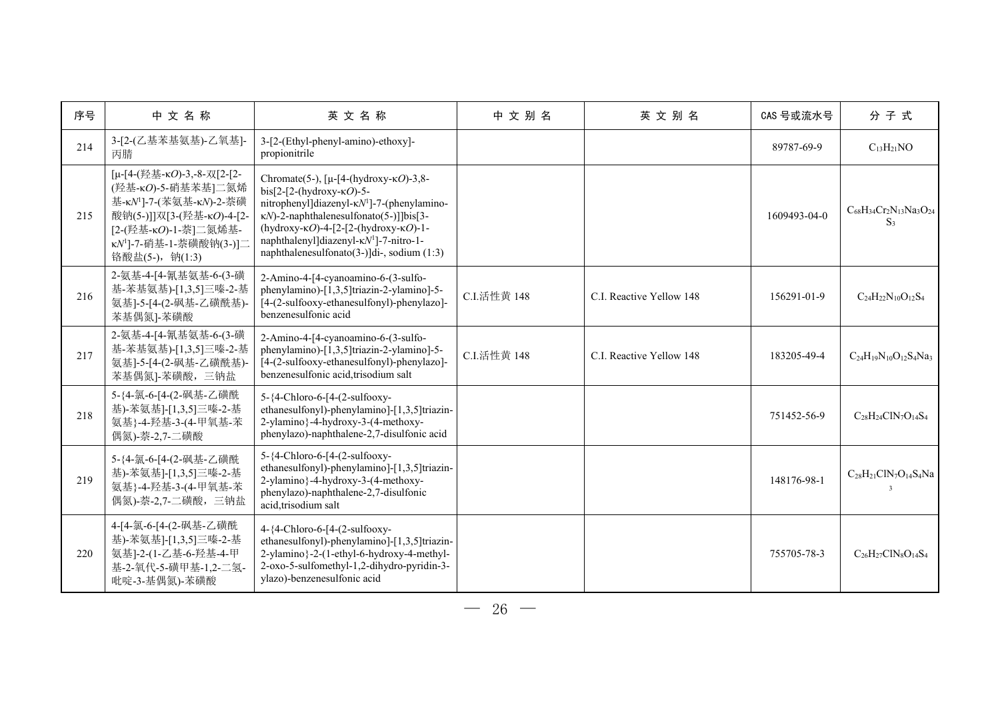| 序号  | 中文名称                                                                                                                                                                                      | 英文名称                                                                                                                                                                                                                                                                                                                                                                       | 中文别名        | 英文别名                     | CAS 号或流水号    | 分子式                                             |
|-----|-------------------------------------------------------------------------------------------------------------------------------------------------------------------------------------------|----------------------------------------------------------------------------------------------------------------------------------------------------------------------------------------------------------------------------------------------------------------------------------------------------------------------------------------------------------------------------|-------------|--------------------------|--------------|-------------------------------------------------|
| 214 | 3-[2-(乙基苯基氨基)-乙氧基]-<br>丙腈                                                                                                                                                                 | 3-[2-(Ethyl-phenyl-amino)-ethoxy]-<br>propionitrile                                                                                                                                                                                                                                                                                                                        |             |                          | 89787-69-9   | $C_{13}H_{21}NO$                                |
| 215 | [µ-[4-(羟基-кО)-3,-8-双[2-[2-<br>(羟基-κΟ)-5-硝基苯基]二氮烯<br>基-к№ ]-7-(苯氨基-к№)-2-萘磺<br>酸钠(5-)]]双[3-(羟基-κΟ)-4-[2-<br>[2-(羟基-κΟ)-1-萘]二氮烯基-<br>κN <sup>1</sup> ]-7-硝基-1-萘磺酸钠(3-)]二<br>铬酸盐(5-), 钠(1:3) | Chromate(5-), $[\mu - [4-(\text{hydroxy-} \kappa O)-3, 8 -$<br>bis[2-[2-(hydroxy- $\kappa$ O)-5-<br>nitrophenyl]diazenyl-KN <sup>1</sup> ]-7-(phenylamino-<br>$\kappa N$ -2-naphthalenesulfonato(5-)]]bis[3-<br>(hydroxy- $\kappa$ O)-4-[2-[2-(hydroxy- $\kappa$ O)-1-<br>naphthalenyl]diazenyl-κN <sup>1</sup> ]-7-nitro-1-<br>naphthalenesulfonato(3-)]di-, sodium (1:3) |             |                          | 1609493-04-0 | $C_{68}H_{34}Cr_2N_{13}Na_3O_{24}$<br>$S_3$     |
| 216 | 2-氨基-4-[4-氰基氨基-6-(3-磺<br>基-苯基氨基)-[1,3,5]三嗪-2-基<br>氨基]-5-[4-(2-砜基-乙磺酰基)-<br>苯基偶氮]-苯磺酸                                                                                                      | 2-Amino-4-[4-cyanoamino-6-(3-sulfo-<br>phenylamino)-[1,3,5]triazin-2-ylamino]-5-<br>[4-(2-sulfooxy-ethanesulfonyl)-phenylazo]-<br>benzenesulfonic acid                                                                                                                                                                                                                     | C.I.活性黄 148 | C.I. Reactive Yellow 148 | 156291-01-9  | $C_{24}H_{22}N_{10}O_{12}S_4$                   |
| 217 | 2-氨基-4-[4-氰基氨基-6-(3-磺<br>基-苯基氨基)-[1,3,5]三嗪-2-基<br>氨基]-5-[4-(2-砜基-乙磺酰基)-<br>苯基偶氮]-苯磺酸,三钠盐                                                                                                  | 2-Amino-4-[4-cyanoamino-6-(3-sulfo-<br>phenylamino)-[1,3,5]triazin-2-ylamino]-5-<br>[4-(2-sulfooxy-ethanesulfonyl)-phenylazo]-<br>benzenesulfonic acid, trisodium salt                                                                                                                                                                                                     | C.I.活性黄 148 | C.I. Reactive Yellow 148 | 183205-49-4  | $C_{24}H_{19}N_{10}O_{12}S_4N_{33}$             |
| 218 | 5-{4-氯-6-[4-(2-砜基-乙磺酰<br>基)-苯氨基]-[1,3,5]三嗪-2-基<br>氨基}-4-羟基-3-(4-甲氧基-苯<br>偶氮)-萘-2,7-二磺酸                                                                                                    | 5-{4-Chloro-6-[4-(2-sulfooxy-<br>ethanesulfonyl)-phenylamino]-[1,3,5]triazin-<br>2-ylamino}-4-hydroxy-3-(4-methoxy-<br>phenylazo)-naphthalene-2,7-disulfonic acid                                                                                                                                                                                                          |             |                          | 751452-56-9  | $C_{28}H_{24}CIN_7O_{14}S_4$                    |
| 219 | 5-{4-氯-6-[4-(2-砜基-乙磺酰<br>基)-苯氨基]-[1,3,5]三嗪-2-基<br>氨基}-4-羟基-3-(4-甲氧基-苯<br>偶氮)-萘-2,7-二磺酸,三钠盐                                                                                                | 5-{4-Chloro-6-[4-(2-sulfooxy-<br>ethanesulfonyl)-phenylamino]-[1,3,5]triazin-<br>2-ylamino}-4-hydroxy-3-(4-methoxy-<br>phenylazo)-naphthalene-2,7-disulfonic<br>acid, trisodium salt                                                                                                                                                                                       |             |                          | 148176-98-1  | $C_{28}H_{21}CIN_7O_{14}S_4Na$<br>$\mathcal{R}$ |
| 220 | 4-[4-氯-6-[4-(2-砜基-乙磺酰<br>基)-苯氨基]-[1,3,5]三嗪-2-基<br>氨基]-2-(1-乙基-6-羟基-4-甲<br>基-2-氧代-5-磺甲基-1,2-二氢-<br>吡啶-3-基偶氮)-苯磺酸                                                                           | 4-{4-Chloro-6-[4-(2-sulfooxy-<br>ethanesulfonyl)-phenylamino]-[1,3,5]triazin-<br>2-ylamino}-2-(1-ethyl-6-hydroxy-4-methyl-<br>2-oxo-5-sulfomethyl-1,2-dihydro-pyridin-3-<br>ylazo)-benzenesulfonic acid                                                                                                                                                                    |             |                          | 755705-78-3  | $C_{26}H_{27}C1N_8O_{14}S_4$                    |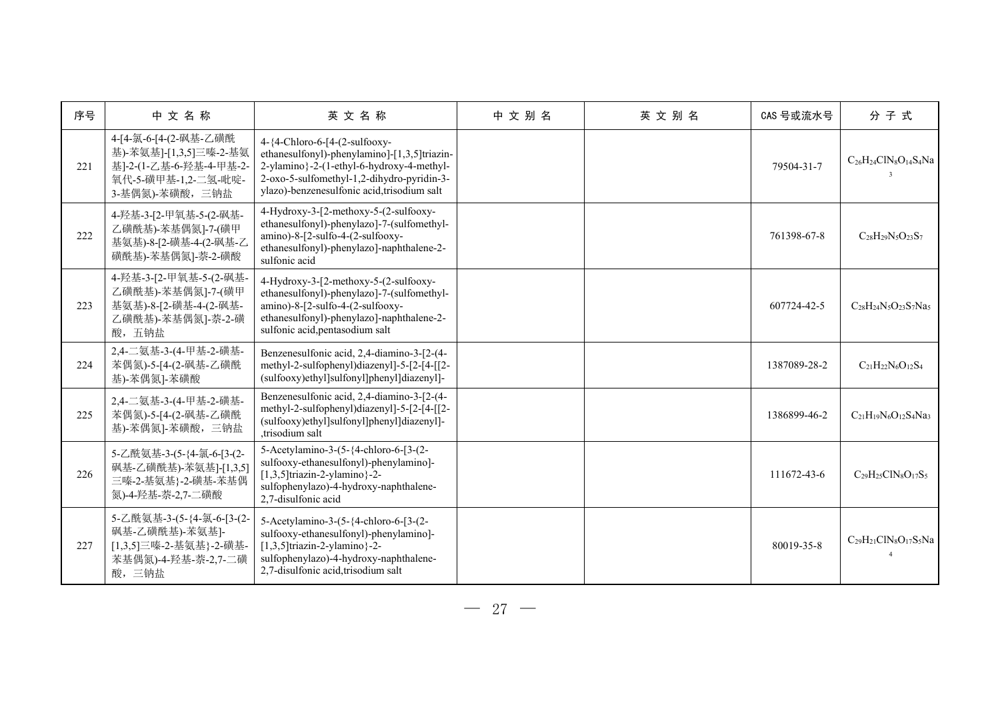| 序号  | 中文名称                                                                                                                | 英文名称                                                                                                                                                                                                                    | 中文别名 | 英文别名 | CAS 号或流水号    | 分子式                                              |
|-----|---------------------------------------------------------------------------------------------------------------------|-------------------------------------------------------------------------------------------------------------------------------------------------------------------------------------------------------------------------|------|------|--------------|--------------------------------------------------|
| 221 | 4-[4-氯-6-[4-(2-砜基-乙磺酰<br>基)-苯氨基]-[1,3,5]三嗪-2-基氨<br>基]-2-(1-乙基-6-羟基-4-甲基-2-<br>氧代-5-磺甲基-1,2-二氢-吡啶-<br>3-基偶氮)-苯磺酸,三钠盐 | 4-{4-Chloro-6-[4-(2-sulfooxy-<br>ethanesulfonyl)-phenylamino]-[1,3,5]triazin-<br>2-ylamino}-2-(1-ethyl-6-hydroxy-4-methyl-<br>2-oxo-5-sulfomethyl-1,2-dihydro-pyridin-3-<br>ylazo)-benzenesulfonic acid, trisodium salt |      |      | 79504-31-7   | $C_{26}H_{24}ClN_8O_{14}S_4Na$                   |
| 222 | 4-羟基-3-[2-甲氧基-5-(2-砜基-<br>乙磺酰基)-苯基偶氮]-7-(磺甲<br>基氨基)-8-[2-磺基-4-(2-砜基-乙<br>磺酰基)-苯基偶氮]-萘-2-磺酸                          | 4-Hydroxy-3-[2-methoxy-5-(2-sulfooxy-<br>ethanesulfonyl)-phenylazo]-7-(sulfomethyl-<br>amino)-8-[2-sulfo-4-(2-sulfooxy-<br>ethanesulfonyl)-phenylazo]-naphthalene-2-<br>sulfonic acid                                   |      |      | 761398-67-8  | $C_{28}H_{29}N_5O_{23}S_7$                       |
| 223 | 4-羟基-3-[2-甲氧基-5-(2-砜基-<br>乙磺酰基)-苯基偶氮]-7-(磺甲<br>基氨基)-8-[2-磺基-4-(2-砜基-<br>乙磺酰基)-苯基偶氮]-萘-2-磺<br>酸,五钠盐                  | 4-Hydroxy-3-[2-methoxy-5-(2-sulfooxy-<br>ethanesulfonyl)-phenylazo]-7-(sulfomethyl-<br>amino)-8-[2-sulfo-4-(2-sulfooxy-<br>ethanesulfonyl)-phenylazo]-naphthalene-2-<br>sulfonic acid, pentasodium salt                 |      |      | 607724-42-5  | $C_{28}H_{24}N_5O_{23}S_7Na_5$                   |
| 224 | 2,4-二氨基-3-(4-甲基-2-磺基-<br>苯偶氮)-5-[4-(2-砜基-乙磺酰<br>基)-苯偶氮]-苯磺酸                                                         | Benzenesulfonic acid, 2,4-diamino-3-[2-(4-<br>methyl-2-sulfophenyl)diazenyl]-5-[2-[4-[[2-<br>(sulfooxy)ethyl]sulfonyl]phenyl]diazenyl]-                                                                                 |      |      | 1387089-28-2 | $C_{21}H_{22}N_6O_{12}S_4$                       |
| 225 | 2,4-二氨基-3-(4-甲基-2-磺基-<br>苯偶氮)-5-[4-(2-砜基-乙磺酰<br>基)-苯偶氮]-苯磺酸,三钠盐                                                     | Benzenesulfonic acid, 2,4-diamino-3-[2-(4-<br>methyl-2-sulfophenyl)diazenyl]-5-[2-[4-[[2-<br>(sulfooxy)ethyl]sulfonyl]phenyl]diazenyl]-<br>,trisodium salt                                                              |      |      | 1386899-46-2 | $C_{21}H_{19}N_6O_{12}S_4Na_3$                   |
| 226 | 5-乙酰氨基-3-(5-{4-氯-6-[3-(2-<br>砜基-乙磺酰基)-苯氨基]-[1,3,5]<br>三嗪-2-基氨基}-2-磺基-苯基偶<br>氮)-4-羟基-萘-2,7-二磺酸                       | 5-Acetylamino-3-(5-{4-chloro-6-[3-(2-<br>sulfooxy-ethanesulfonyl)-phenylamino]-<br>$[1,3,5]$ triazin-2-ylamino}-2-<br>sulfophenylazo)-4-hydroxy-naphthalene-<br>2,7-disulfonic acid                                     |      |      | 111672-43-6  | $C_{29}H_{25}CIN_8O_{17}S_5$                     |
| 227 | 5-乙酰氨基-3-(5-{4-氯-6-[3-(2-<br>砜基-乙磺酰基)-苯氨基]-<br>[1,3,5]三嗪-2-基氨基}-2-磺基-<br>苯基偶氮)-4-羟基-萘-2,7-二磺<br>酸,三钠盐               | 5-Acetylamino-3-(5-{4-chloro-6-[3-(2-<br>sulfooxy-ethanesulfonyl)-phenylaminol-<br>$[1,3,5]$ triazin-2-ylamino}-2-<br>sulfophenylazo)-4-hydroxy-naphthalene-<br>2,7-disulfonic acid, trisodium salt                     |      |      | 80019-35-8   | $C_{29}H_{21}C1N_8O_{17}S_5Na$<br>$\overline{4}$ |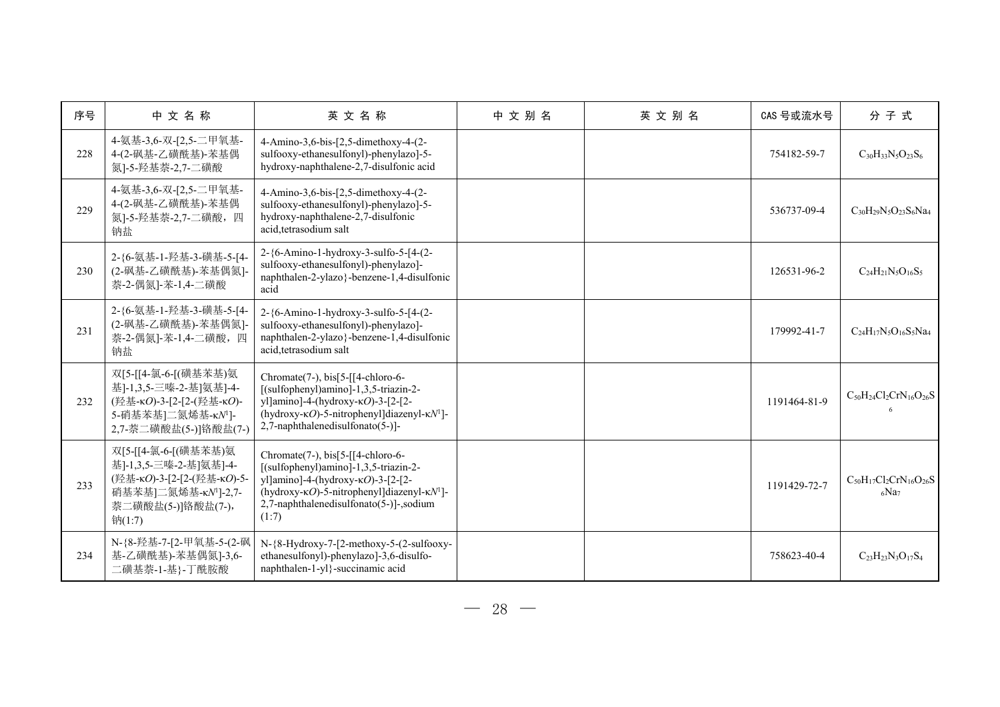| 序号  | 中文名称                                                                                                                                             | 英文名称                                                                                                                                                                                                                                              | 中文别名 | 英文别名 | CAS 号或流水号    | 分子式                                      |
|-----|--------------------------------------------------------------------------------------------------------------------------------------------------|---------------------------------------------------------------------------------------------------------------------------------------------------------------------------------------------------------------------------------------------------|------|------|--------------|------------------------------------------|
| 228 | 4-氨基-3,6-双-[2,5-二甲氧基-<br>4-(2-砜基-乙磺酰基)-苯基偶<br>氮]-5-羟基萘-2,7-二磺酸                                                                                   | 4-Amino-3,6-bis-[2,5-dimethoxy-4-(2-<br>sulfooxy-ethanesulfonyl)-phenylazo]-5-<br>hydroxy-naphthalene-2,7-disulfonic acid                                                                                                                         |      |      | 754182-59-7  | $C_{30}H_{33}N_5O_{23}S_6$               |
| 229 | 4-氨基-3,6-双-[2,5-二甲氧基-<br>4-(2-砜基-乙磺酰基)-苯基偶<br>氮]-5-羟基萘-2,7-二磺酸, 四<br>钠盐                                                                          | 4-Amino-3,6-bis-[2,5-dimethoxy-4-(2-<br>sulfooxy-ethanesulfonyl)-phenylazo]-5-<br>hydroxy-naphthalene-2,7-disulfonic<br>acid, tetrasodium salt                                                                                                    |      |      | 536737-09-4  | $C_{30}H_{29}N_5O_{23}S_6Na_4$           |
| 230 | 2-{6-氨基-1-羟基-3-磺基-5-[4-<br>(2-砜基-乙磺酰基)-苯基偶氮]-<br>萘-2-偶氮]-苯-1,4-二磺酸                                                                               | 2-{6-Amino-1-hydroxy-3-sulfo-5-[4-(2-<br>sulfooxy-ethanesulfonyl)-phenylazo]-<br>naphthalen-2-ylazo}-benzene-1,4-disulfonic<br>acid                                                                                                               |      |      | 126531-96-2  | $C_{24}H_{21}N_5O_{16}S_5$               |
| 231 | 2-{6-氨基-1-羟基-3-磺基-5-[4-<br>(2-砜基-乙磺酰基)-苯基偶氮]-<br>萘-2-偶氮]-苯-1,4-二磺酸, 四<br>钠盐                                                                      | 2-{6-Amino-1-hydroxy-3-sulfo-5-[4-(2-<br>sulfooxy-ethanesulfonyl)-phenylazo]-<br>naphthalen-2-ylazo}-benzene-1,4-disulfonic<br>acid, tetrasodium salt                                                                                             |      |      | 179992-41-7  | $C_{24}H_{17}N_5O_{16}S_5Na_4$           |
| 232 | 双[5-[[4-氯-6-[(磺基苯基)氨<br>基]-1,3,5-三嗪-2-基]氨基]-4-<br>(羟基-κO)-3-[2-[2-(羟基-κO)-<br>5-硝基苯基]二氮烯基-κΝ <sup>1</sup> ]-<br>2,7-萘二磺酸盐(5-)]铬酸盐(7-)            | Chromate(7-), $bis[5-[14-chloro-6-$<br>[(sulfophenyl)amino]-1,3,5-triazin-2-<br>yl]amino]-4-(hydroxy- $\kappa$ O)-3-[2-[2-<br>(hydroxy- $\kappa$ O)-5-nitrophenyl]diazenyl- $\kappa$ N <sup>1</sup> ]-<br>2,7-naphthalenedisulfonato(5-)]-        |      |      | 1191464-81-9 | $C_{50}H_{24}Cl_2CrN_{16}O_{26}S$        |
| 233 | 双[5-[[4-氯-6-[(磺基苯基)氨<br>基]-1,3,5-三嗪-2-基]氨基]-4-<br>(羟基-кО)-3-[2-[2-(羟基-кО)-5-<br>硝基苯基]二氮烯基-κΝ <sup>1</sup> ]-2,7-<br>萘二磺酸盐(5-)]铬酸盐(7-),<br>钠(1:7) | Chromate(7-), $bis[5-[14-chloro-6-$<br>[(sulfophenyl)amino]-1,3,5-triazin-2-<br>yl]amino]-4-(hydroxy-KO)-3-[2-[2-<br>(hydroxy- $\kappa$ O)-5-nitrophenyl]diazenyl- $\kappa$ N <sup>1</sup> ]-<br>2,7-naphthalenedisulfonato(5-)]-,sodium<br>(1:7) |      |      | 1191429-72-7 | $C_{50}H_{17}Cl_2CrN_{16}O_{26}S$<br>6Na |
| 234 | N-{8-羟基-7-[2-甲氧基-5-(2-砜<br>基-乙磺酰基)-苯基偶氮]-3,6-<br>二磺基萘-1-基}-丁酰胺酸                                                                                  | N-{8-Hydroxy-7-[2-methoxy-5-(2-sulfooxy-<br>ethanesulfonyl)-phenylazo]-3,6-disulfo-<br>naphthalen-1-yl}-succinamic acid                                                                                                                           |      |      | 758623-40-4  | $C_{23}H_{23}N_3O_{17}S_4$               |